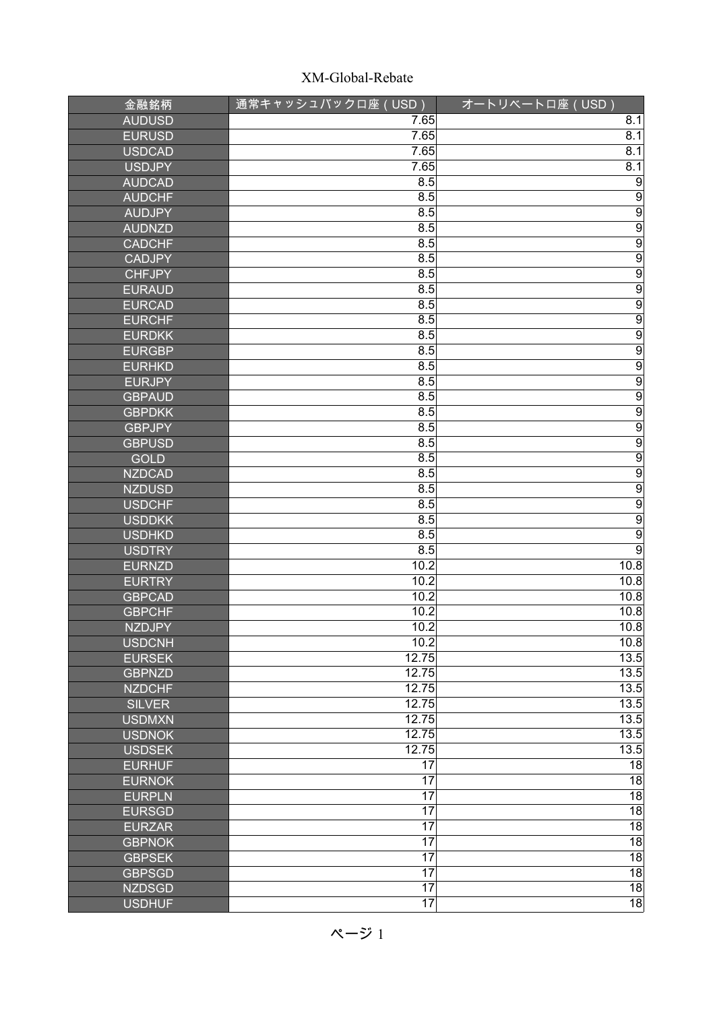| 金融銘柄          | 通常キャッシュバックロ座 (USD) | オートリベートロ座 (USD)                                                             |
|---------------|--------------------|-----------------------------------------------------------------------------|
| <b>AUDUSD</b> | 7.65               | 8.1                                                                         |
| <b>EURUSD</b> | 7.65               | 8.1                                                                         |
| <b>USDCAD</b> | 7.65               | 8.1                                                                         |
| <b>USDJPY</b> | 7.65               | 8.1                                                                         |
| <b>AUDCAD</b> | 8.5                | $\overline{9}$                                                              |
| <b>AUDCHF</b> | 8.5                | $\overline{9}$                                                              |
| <b>AUDJPY</b> | 8.5                |                                                                             |
| <b>AUDNZD</b> | 8.5                | $\frac{9}{9}$                                                               |
| <b>CADCHF</b> | 8.5                | $\overline{9}$                                                              |
| <b>CADJPY</b> | 8.5                | $\overline{9}$                                                              |
| <b>CHFJPY</b> | 8.5                | $\overline{9}$                                                              |
| <b>EURAUD</b> | 8.5                | $\overline{9}$                                                              |
| <b>EURCAD</b> | 8.5                | $\overline{9}$                                                              |
| <b>EURCHF</b> | 8.5                |                                                                             |
| <b>EURDKK</b> | 8.5                |                                                                             |
| <b>EURGBP</b> | 8.5                |                                                                             |
| <b>EURHKD</b> | 8.5                | $\begin{array}{c c c c} \hline 9 & 0 \\ \hline 9 & 0 \\ \hline \end{array}$ |
| <b>EURJPY</b> | 8.5                | $\overline{9}$                                                              |
| <b>GBPAUD</b> | 8.5                | $\overline{9}$                                                              |
| <b>GBPDKK</b> | 8.5                | $\overline{9}$                                                              |
| <b>GBPJPY</b> | 8.5                | $\overline{9}$                                                              |
| <b>GBPUSD</b> | 8.5                |                                                                             |
| <b>GOLD</b>   | 8.5                | $\frac{9}{9}$                                                               |
| <b>NZDCAD</b> | 8.5                |                                                                             |
| <b>NZDUSD</b> | 8.5                | $\overline{9}$                                                              |
| <b>USDCHF</b> | 8.5                |                                                                             |
| <b>USDDKK</b> | 8.5                | $\frac{9}{9}$                                                               |
| <b>USDHKD</b> | 8.5                | $\overline{9}$                                                              |
| <b>USDTRY</b> | 8.5                | $\overline{9}$                                                              |
| <b>EURNZD</b> | 10.2               | 10.8                                                                        |
| <b>EURTRY</b> | 10.2               | 10.8                                                                        |
| <b>GBPCAD</b> | 10.2               | 10.8                                                                        |
| <b>GBPCHF</b> | 10.2               | 10.8                                                                        |
| <b>NZDJPY</b> | 10.2               | 10.8                                                                        |
| <b>USDCNH</b> | 10.2               | 10.8                                                                        |
| <b>EURSEK</b> | 12.75              | 13.5                                                                        |
| <b>GBPNZD</b> | 12.75              | 13.5                                                                        |
| <b>NZDCHF</b> | 12.75              | 13.5                                                                        |
| <b>SILVER</b> | 12.75              | 13.5                                                                        |
| <b>USDMXN</b> | 12.75              | 13.5                                                                        |
| <b>USDNOK</b> | 12.75              | 13.5                                                                        |
| <b>USDSEK</b> | 12.75              | 13.5                                                                        |
| <b>EURHUF</b> | $\overline{17}$    | $\overline{18}$                                                             |
| <b>EURNOK</b> | 17                 | $\overline{18}$                                                             |
| <b>EURPLN</b> | 17                 | $\overline{18}$                                                             |
| <b>EURSGD</b> | $\overline{17}$    | $\overline{18}$                                                             |
| <b>EURZAR</b> | $\overline{17}$    | $\overline{18}$                                                             |
| <b>GBPNOK</b> | 17                 | $\overline{18}$                                                             |
| <b>GBPSEK</b> | $\overline{17}$    | $\overline{18}$                                                             |
| <b>GBPSGD</b> | $\overline{17}$    | $\overline{18}$                                                             |
| <b>NZDSGD</b> | $\overline{17}$    | $\overline{18}$                                                             |
| <b>USDHUF</b> | $\overline{17}$    | $\overline{18}$                                                             |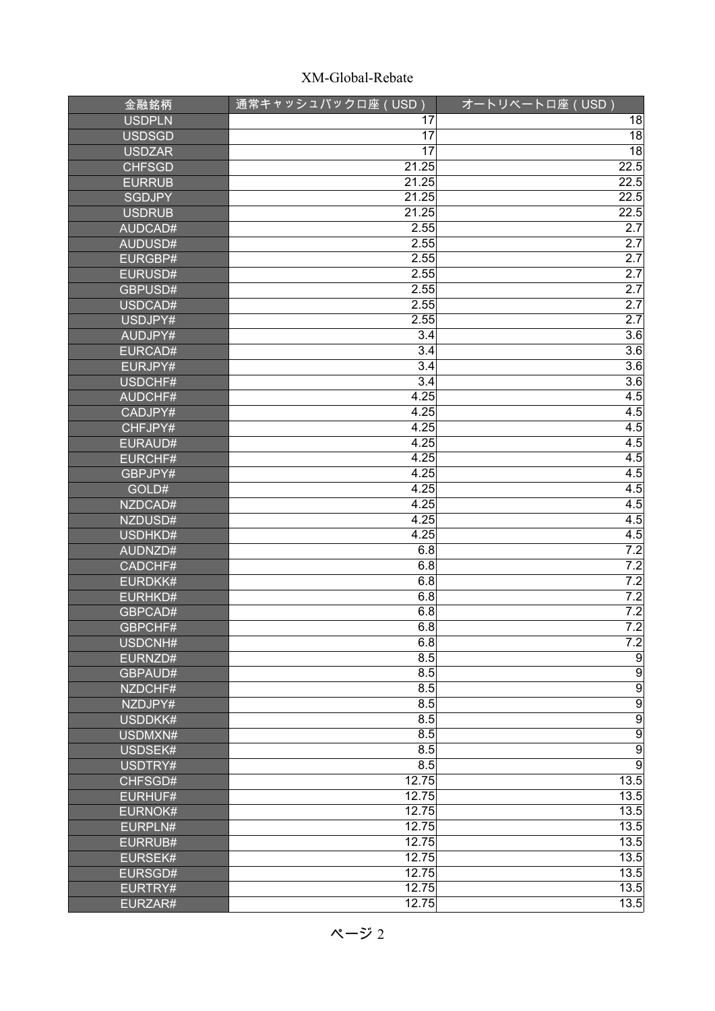| 金融銘柄           | 通常キャッシュバックロ座 (USD) | オートリベートロ座 (USD)  |
|----------------|--------------------|------------------|
| <b>USDPLN</b>  | 17                 | 18               |
| <b>USDSGD</b>  | 17                 | $\overline{18}$  |
| <b>USDZAR</b>  | 17                 | $\overline{18}$  |
| <b>CHFSGD</b>  | 21.25              | 22.5             |
| <b>EURRUB</b>  | 21.25              | 22.5             |
| <b>SGDJPY</b>  | 21.25              | 22.5             |
| <b>USDRUB</b>  | 21.25              | 22.5             |
| AUDCAD#        | 2.55               | 2.7              |
| AUDUSD#        | 2.55               | 2.7              |
| EURGBP#        | 2.55               | 2.7              |
| EURUSD#        | 2.55               | 2.7              |
| GBPUSD#        | 2.55               | $\overline{2.7}$ |
| USDCAD#        | 2.55               | 2.7              |
| USDJPY#        | 2.55               | 2.7              |
| AUDJPY#        | $\overline{3.4}$   | 3.6              |
| EURCAD#        | $\overline{3.4}$   | 3.6              |
| EURJPY#        | $\overline{3.4}$   | $\overline{3.6}$ |
| USDCHF#        | $\overline{3.4}$   | 3.6              |
| <b>AUDCHF#</b> | 4.25               | 4.5              |
| CADJPY#        | 4.25               | 4.5              |
| CHFJPY#        | 4.25               | 4.5              |
| EURAUD#        | 4.25               | 4.5              |
| EURCHF#        | 4.25               | 4.5              |
| GBPJPY#        | 4.25               | 4.5              |
| GOLD#          | 4.25               | 4.5              |
| NZDCAD#        | 4.25               | 4.5              |
| NZDUSD#        | 4.25               | 4.5              |
| USDHKD#        | 4.25               | 4.5              |
| AUDNZD#        | 6.8                | 7.2              |
| CADCHF#        | 6.8                | 7.2              |
| EURDKK#        | 6.8                | 7.2              |
| EURHKD#        | 6.8                | 7.2              |
| GBPCAD#        | 6.8                | 7.2              |
| GBPCHF#        | 6.8                | 7.2              |
| USDCNH#        | 6.8                | 7.2              |
| EURNZD#        | 8.5                | $\overline{9}$   |
| GBPAUD#        | 8.5                | $\overline{9}$   |
| NZDCHF#        | 8.5                | $\frac{9}{9}$    |
| NZDJPY#        | 8.5                |                  |
| USDDKK#        | 8.5                | $\overline{9}$   |
| USDMXN#        | 8.5                | $\overline{9}$   |
| USDSEK#        | 8.5                | $\overline{9}$   |
| USDTRY#        | 8.5                | $\overline{9}$   |
| CHFSGD#        | 12.75              | 13.5             |
| <b>EURHUF#</b> | 12.75              | 13.5             |
| <b>EURNOK#</b> | 12.75              | 13.5             |
| EURPLN#        | 12.75              | 13.5             |
| EURRUB#        | 12.75              | 13.5             |
| <b>EURSEK#</b> | 12.75              | 13.5             |
| EURSGD#        | 12.75              | 13.5             |
| EURTRY#        | 12.75              | 13.5             |
| EURZAR#        | 12.75              | 13.5             |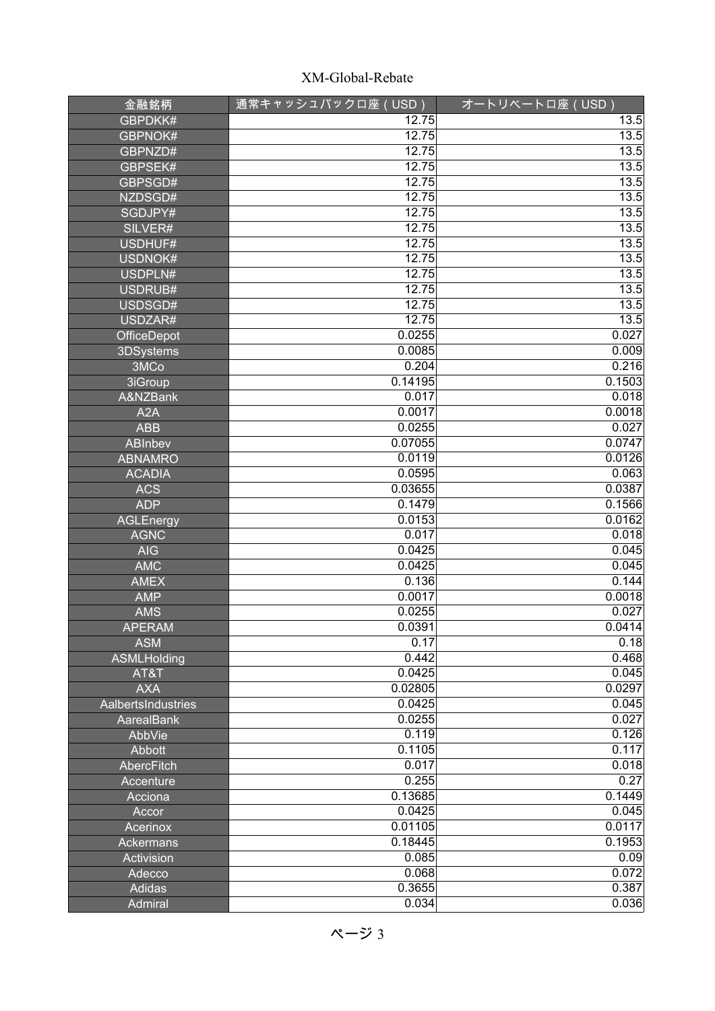| 金融銘柄               | 通常キャッシュバックロ座 (USD) | オートリベートロ座 (USD)   |
|--------------------|--------------------|-------------------|
| GBPDKK#            | $\overline{12.75}$ | $\overline{1}3.5$ |
| GBPNOK#            | 12.75              | 13.5              |
| GBPNZD#            | 12.75              | 13.5              |
| GBPSEK#            | 12.75              | 13.5              |
| GBPSGD#            | 12.75              | 13.5              |
| NZDSGD#            | 12.75              | 13.5              |
| SGDJPY#            | 12.75              | 13.5              |
| SILVER#            | 12.75              | 13.5              |
| USDHUF#            | 12.75              | 13.5              |
| USDNOK#            | 12.75              | 13.5              |
| USDPLN#            | 12.75              | 13.5              |
| USDRUB#            | 12.75              | 13.5              |
| USDSGD#            | 12.75              | 13.5              |
| USDZAR#            | 12.75              | 13.5              |
| OfficeDepot        | 0.0255             | 0.027             |
| 3DSystems          | 0.0085             | 0.009             |
| 3MCo               | 0.204              | 0.216             |
| 3iGroup            | 0.14195            | 0.1503            |
| A&NZBank           | 0.017              | 0.018             |
| A <sub>2</sub> A   | 0.0017             | 0.0018            |
| <b>ABB</b>         | 0.0255             | 0.027             |
| ABInbev            | 0.07055            | 0.0747            |
| <b>ABNAMRO</b>     | 0.0119             | 0.0126            |
| <b>ACADIA</b>      | 0.0595             | 0.063             |
| <b>ACS</b>         | 0.03655            | 0.0387            |
| <b>ADP</b>         | 0.1479             | 0.1566            |
| <b>AGLEnergy</b>   | 0.0153             | 0.0162            |
| <b>AGNC</b>        | 0.017              | 0.018             |
| <b>AIG</b>         | 0.0425             | 0.045             |
| <b>AMC</b>         | 0.0425             | 0.045             |
| <b>AMEX</b>        | 0.136              | 0.144             |
| <b>AMP</b>         | 0.0017             | 0.0018            |
| <b>AMS</b>         | 0.0255             | 0.027             |
| <b>APERAM</b>      | 0.0391             | 0.0414            |
| <b>ASM</b>         | 0.17               | 0.18              |
| ASMLHolding        | 0.442              | 0.468             |
| AT&T               | 0.0425             | 0.045             |
| <b>AXA</b>         | 0.02805            | 0.0297            |
| AalbertsIndustries | 0.0425             | 0.045<br>0.027    |
| <b>AarealBank</b>  | 0.0255             |                   |
| AbbVie             | 0.119              | 0.126             |
| Abbott             | 0.1105             | 0.117             |
| AbercFitch         | 0.017              | 0.018<br>0.27     |
| Accenture          | 0.255              |                   |
| Acciona            | 0.13685<br>0.0425  | 0.1449<br>0.045   |
| Accor              | 0.01105            | 0.0117            |
| Acerinox           | 0.18445            | 0.1953            |
| Ackermans          | 0.085              | 0.09              |
| Activision         | 0.068              | 0.072             |
| Adecco             | 0.3655             | 0.387             |
| Adidas             | 0.034              | 0.036             |
| Admiral            |                    |                   |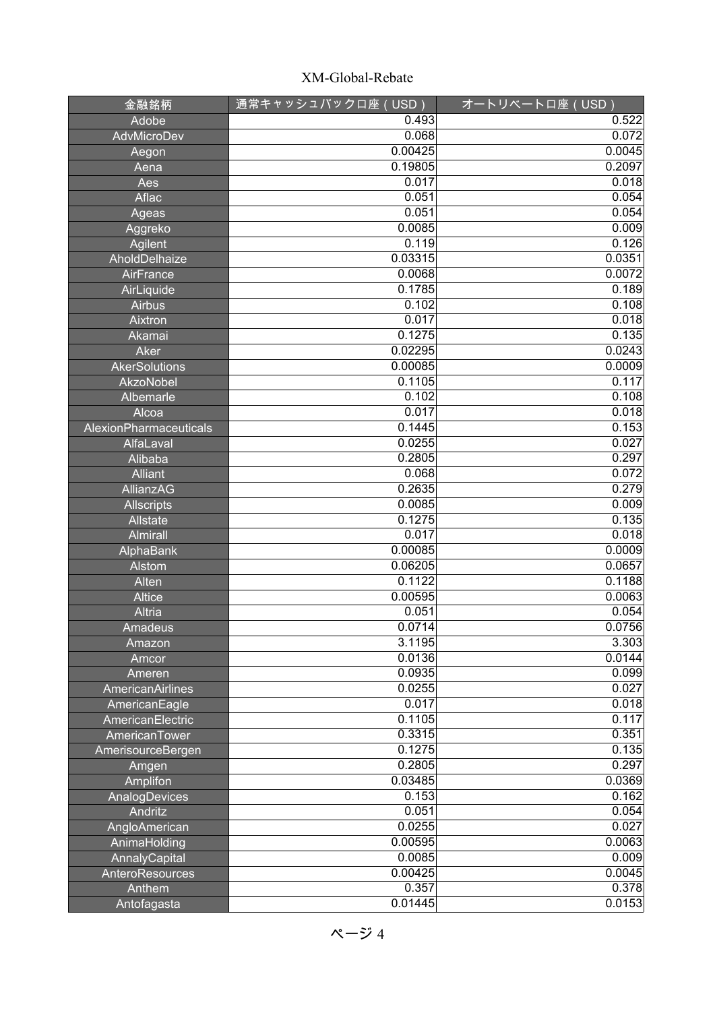| 金融銘柄                          | 通常キャッシュバックロ座(USD) | オートリベートロ座 (USD) |
|-------------------------------|-------------------|-----------------|
| Adobe                         | 0.493             | 0.522           |
| AdvMicroDev                   | 0.068             | 0.072           |
| Aegon                         | 0.00425           | 0.0045          |
| Aena                          | 0.19805           | 0.2097          |
| Aes                           | 0.017             | 0.018           |
| Aflac                         | 0.051             | 0.054           |
| Ageas                         | 0.051             | 0.054           |
| Aggreko                       | 0.0085            | 0.009           |
| Agilent                       | 0.119             | 0.126           |
| AholdDelhaize                 | 0.03315           | 0.0351          |
| AirFrance                     | 0.0068            | 0.0072          |
| AirLiquide                    | 0.1785            | 0.189           |
| <b>Airbus</b>                 | 0.102             | 0.108           |
| Aixtron                       | 0.017             | 0.018           |
| Akamai                        | 0.1275            | 0.135           |
| Aker                          | 0.02295           | 0.0243          |
| <b>AkerSolutions</b>          | 0.00085           | 0.0009          |
| AkzoNobel                     | 0.1105            | 0.117           |
| Albemarle                     | 0.102             | 0.108           |
| Alcoa                         | 0.017             | 0.018           |
| AlexionPharmaceuticals        | 0.1445            | 0.153           |
| AlfaLaval                     | 0.0255            | 0.027           |
| Alibaba                       | 0.2805            | 0.297           |
| Alliant                       | 0.068             | 0.072           |
| <b>AllianzAG</b>              | 0.2635            | 0.279           |
| <b>Allscripts</b>             | 0.0085            | 0.009           |
| Allstate                      | 0.1275            | 0.135           |
| <b>Almirall</b>               | 0.017             | 0.018           |
| AlphaBank                     | 0.00085           | 0.0009          |
| Alstom                        | 0.06205           | 0.0657          |
| Alten                         | 0.1122            | 0.1188          |
| <b>Altice</b>                 | 0.00595           | 0.0063          |
| Altria                        | 0.051             | 0.054           |
| Amadeus                       | 0.0714            | 0.0756          |
| Amazon                        | 3.1195            | 3.303           |
| Amcor                         | 0.0136            | 0.0144          |
| Ameren                        | 0.0935            | 0.099           |
| AmericanAirlines              | 0.0255<br>0.017   | 0.027<br>0.018  |
| AmericanEagle                 | 0.1105            | 0.117           |
| AmericanElectric              | 0.3315            | 0.351           |
| AmericanTower                 | 0.1275            | 0.135           |
| AmerisourceBergen             | 0.2805            | 0.297           |
| Amgen                         | 0.03485           | 0.0369          |
| Amplifon                      | 0.153             | 0.162           |
| AnalogDevices<br>Andritz      | 0.051             | 0.054           |
|                               | 0.0255            | 0.027           |
| AngloAmerican<br>AnimaHolding | 0.00595           | 0.0063          |
| AnnalyCapital                 | 0.0085            | 0.009           |
| AnteroResources               | 0.00425           | 0.0045          |
| Anthem                        | 0.357             | 0.378           |
| Antofagasta                   | 0.01445           | 0.0153          |
|                               |                   |                 |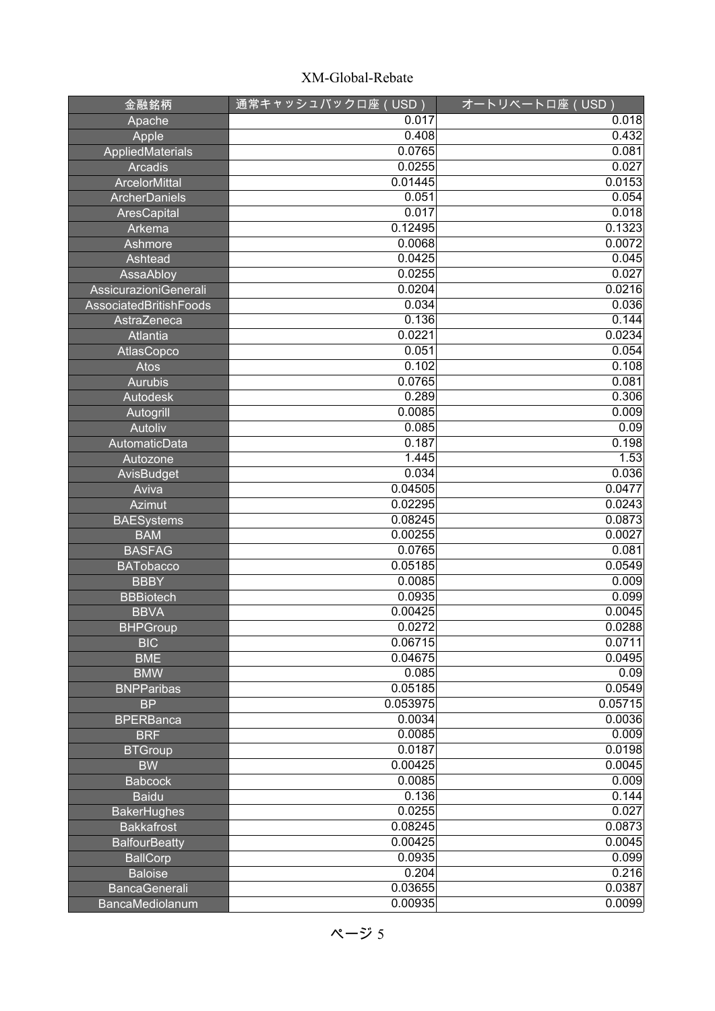| 金融銘柄                                   | 通常キャッシュバックロ座(USD)  | オートリベートロ座 (USD)  |
|----------------------------------------|--------------------|------------------|
| Apache                                 | 0.017              | 0.018            |
| Apple                                  | 0.408              | 0.432            |
| AppliedMaterials                       | 0.0765             | 0.081            |
| <b>Arcadis</b>                         | 0.0255             | 0.027            |
| <b>ArcelorMittal</b>                   | 0.01445            | 0.0153           |
| ArcherDaniels                          | 0.051              | 0.054            |
| AresCapital                            | 0.017              | 0.018            |
| Arkema                                 | 0.12495            | 0.1323           |
| Ashmore                                | 0.0068             | 0.0072           |
| Ashtead                                | 0.0425             | 0.045            |
| AssaAbloy                              | 0.0255             | 0.027            |
| AssicurazioniGenerali                  | 0.0204             | 0.0216           |
| AssociatedBritishFoods                 | 0.034              | 0.036            |
| AstraZeneca                            | 0.136              | 0.144            |
| <b>Atlantia</b>                        | 0.0221             | 0.0234           |
| AtlasCopco                             | 0.051              | 0.054            |
| Atos                                   | 0.102              | 0.108            |
| <b>Aurubis</b>                         | 0.0765             | 0.081            |
| <b>Autodesk</b>                        | 0.289              | 0.306            |
| Autogrill                              | 0.0085             | 0.009            |
| Autoliv                                | 0.085              | 0.09             |
| AutomaticData                          | 0.187              | 0.198            |
| Autozone                               | 1.445              | 1.53             |
| AvisBudget                             | 0.034              | 0.036            |
| Aviva                                  | 0.04505            | 0.0477           |
| <b>Azimut</b>                          | 0.02295            | 0.0243           |
| <b>BAESystems</b>                      | 0.08245            | 0.0873           |
| <b>BAM</b>                             | 0.00255            | 0.0027           |
| <b>BASFAG</b>                          | 0.0765             | 0.081            |
| <b>BATobacco</b>                       | 0.05185            | 0.0549           |
| <b>BBBY</b>                            | 0.0085             | 0.009            |
| <b>BBBiotech</b>                       | 0.0935             | 0.099            |
| <b>BBVA</b>                            | 0.00425            | 0.0045           |
| <b>BHPGroup</b>                        | 0.0272             | 0.0288           |
| <b>BIC</b>                             | 0.06715            | 0.0711           |
| <b>BME</b>                             | 0.04675            | 0.0495           |
| <b>BMW</b>                             | 0.085              | 0.09             |
| <b>BNPParibas</b>                      | 0.05185            | 0.0549           |
| <b>BP</b>                              | 0.053975           | 0.05715          |
| <b>BPERBanca</b>                       | 0.0034             | 0.0036           |
| <b>BRF</b>                             | 0.0085<br>0.0187   | 0.009            |
| <b>BTGroup</b>                         |                    | 0.0198           |
| <b>BW</b>                              | 0.00425            | 0.0045           |
| <b>Babcock</b>                         | 0.0085             | 0.009            |
| <b>Baidu</b>                           | 0.136              | 0.144<br>0.027   |
| <b>BakerHughes</b>                     | 0.0255             |                  |
| <b>Bakkafrost</b>                      | 0.08245<br>0.00425 | 0.0873<br>0.0045 |
| <b>BalfourBeatty</b>                   | 0.0935             | 0.099            |
| <b>BallCorp</b>                        | 0.204              | 0.216            |
| <b>Baloise</b><br><b>BancaGenerali</b> | 0.03655            | 0.0387           |
| BancaMediolanum                        | 0.00935            | 0.0099           |
|                                        |                    |                  |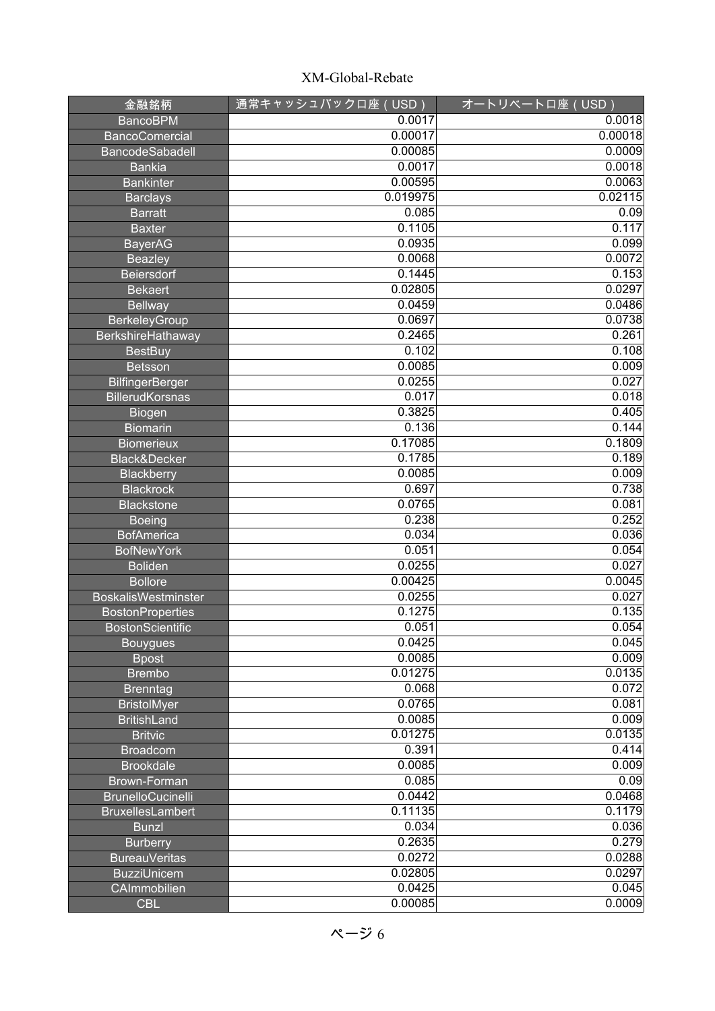| 金融銘柄                       | 通常キャッシュバックロ座 (USD) | オートリベートロ座 (USD) |
|----------------------------|--------------------|-----------------|
| <b>BancoBPM</b>            | 0.0017             | 0.0018          |
| <b>BancoComercial</b>      | 0.00017            | 0.00018         |
| <b>BancodeSabadell</b>     | 0.00085            | 0.0009          |
| Bankia                     | 0.0017             | 0.0018          |
| <b>Bankinter</b>           | 0.00595            | 0.0063          |
| <b>Barclays</b>            | 0.019975           | 0.02115         |
| <b>Barratt</b>             | 0.085              | 0.09            |
| <b>Baxter</b>              | 0.1105             | 0.117           |
| <b>BayerAG</b>             | 0.0935             | 0.099           |
| <b>Beazley</b>             | 0.0068             | 0.0072          |
| <b>Beiersdorf</b>          | 0.1445             | 0.153           |
| <b>Bekaert</b>             | 0.02805            | 0.0297          |
| <b>Bellway</b>             | 0.0459             | 0.0486          |
| <b>BerkeleyGroup</b>       | 0.0697             | 0.0738          |
| BerkshireHathaway          | 0.2465             | 0.261           |
| <b>BestBuy</b>             | 0.102              | 0.108           |
| <b>Betsson</b>             | 0.0085             | 0.009           |
| <b>BilfingerBerger</b>     | 0.0255             | 0.027           |
| <b>BillerudKorsnas</b>     | 0.017              | 0.018           |
| <b>Biogen</b>              | 0.3825             | 0.405           |
| <b>Biomarin</b>            | 0.136              | 0.144           |
| <b>Biomerieux</b>          | 0.17085            | 0.1809          |
| Black&Decker               | 0.1785             | 0.189           |
| <b>Blackberry</b>          | 0.0085             | 0.009           |
| <b>Blackrock</b>           | 0.697              | 0.738           |
| <b>Blackstone</b>          | 0.0765             | 0.081           |
| <b>Boeing</b>              | 0.238              | 0.252           |
| <b>BofAmerica</b>          | 0.034              | 0.036           |
| <b>BofNewYork</b>          | 0.051              | 0.054           |
| <b>Boliden</b>             | 0.0255             | 0.027           |
| <b>Bollore</b>             | 0.00425            | 0.0045          |
| <b>BoskalisWestminster</b> | 0.0255             | 0.027           |
| <b>BostonProperties</b>    | 0.1275             | 0.135           |
| <b>BostonScientific</b>    | 0.051              | 0.054           |
| <b>Bouygues</b>            | 0.0425             | 0.045           |
| <b>Bpost</b>               | 0.0085             | 0.009           |
| <b>Brembo</b>              | 0.01275            | 0.0135          |
| <b>Brenntag</b>            | 0.068              | 0.072           |
| <b>BristolMyer</b>         | 0.0765             | 0.081           |
| <b>BritishLand</b>         | 0.0085             | 0.009           |
| <b>Britvic</b>             | 0.01275            | 0.0135          |
| <b>Broadcom</b>            | 0.391              | 0.414           |
| <b>Brookdale</b>           | 0.0085             | 0.009           |
| Brown-Forman               | 0.085              | 0.09            |
| <b>BrunelloCucinelli</b>   | 0.0442             | 0.0468          |
| <b>BruxellesLambert</b>    | 0.11135            | 0.1179          |
| <b>Bunzl</b>               | 0.034              | 0.036           |
| <b>Burberry</b>            | 0.2635             | 0.279           |
| <b>BureauVeritas</b>       | 0.0272             | 0.0288          |
| <b>BuzziUnicem</b>         | 0.02805            | 0.0297          |
| CAImmobilien               | 0.0425             | 0.045           |
| <b>CBL</b>                 | 0.00085            | 0.0009          |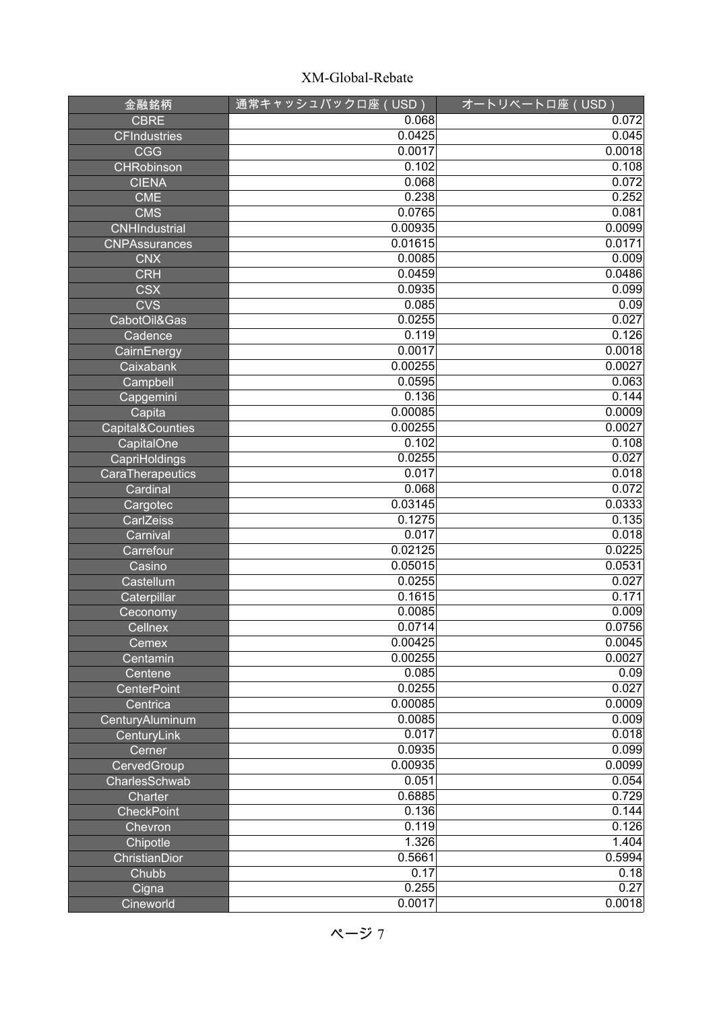| 金融銘柄                 | 通常キャッシュバックロ座(USD) | オートリベートロ座 (USD) |
|----------------------|-------------------|-----------------|
| <b>CBRE</b>          | 0.068             | 0.072           |
| <b>CFIndustries</b>  | 0.0425            | 0.045           |
| <b>CGG</b>           | 0.0017            | 0.0018          |
| <b>CHRobinson</b>    | 0.102             | 0.108           |
| <b>CIENA</b>         | 0.068             | 0.072           |
| <b>CME</b>           | 0.238             | 0.252           |
| <b>CMS</b>           | 0.0765            | 0.081           |
| <b>CNHIndustrial</b> | 0.00935           | 0.0099          |
| <b>CNPAssurances</b> | 0.01615           | 0.0171          |
| <b>CNX</b>           | 0.0085            | 0.009           |
| <b>CRH</b>           | 0.0459            | 0.0486          |
| <b>CSX</b>           | 0.0935            | 0.099           |
| <b>CVS</b>           | 0.085             | 0.09            |
| CabotOil&Gas         | 0.0255            | 0.027           |
| Cadence              | 0.119             | 0.126           |
| CairnEnergy          | 0.0017            | 0.0018          |
| Caixabank            | 0.00255           | 0.0027          |
| Campbell             | 0.0595            | 0.063           |
| Capgemini            | 0.136             | 0.144           |
| Capita               | 0.00085           | 0.0009          |
| Capital&Counties     | 0.00255           | 0.0027          |
| CapitalOne           | 0.102             | 0.108           |
| CapriHoldings        | 0.0255            | 0.027           |
| CaraTherapeutics     | 0.017             | 0.018           |
| Cardinal             | 0.068             | 0.072           |
| Cargotec             | 0.03145           | 0.0333          |
| CarlZeiss            | 0.1275            | 0.135           |
| Carnival             | 0.017             | 0.018           |
| Carrefour            | 0.02125           | 0.0225          |
| Casino               | 0.05015           | 0.0531          |
| Castellum            | 0.0255            | 0.027           |
| Caterpillar          | 0.1615            | 0.171           |
| Ceconomy             | 0.0085            | 0.009           |
| Cellnex              | 0.0714            | 0.0756          |
| Cemex                | 0.00425           | 0.0045          |
| Centamin             | 0.00255           | 0.0027          |
| Centene              | 0.085             | 0.09            |
| <b>CenterPoint</b>   | 0.0255            | 0.027           |
| Centrica             | 0.00085           | 0.0009          |
| CenturyAluminum      | 0.0085            | 0.009           |
| CenturyLink          | 0.017             | 0.018           |
| Cerner               | 0.0935            | 0.099           |
| CervedGroup          | 0.00935           | 0.0099          |
| CharlesSchwab        | 0.051             | 0.054           |
| Charter              | 0.6885            | 0.729           |
| <b>CheckPoint</b>    | 0.136             | 0.144           |
| Chevron              | 0.119             | 0.126           |
| Chipotle             | 1.326             | 1.404           |
| ChristianDior        | 0.5661<br>0.17    | 0.5994          |
| Chubb                | 0.255             | 0.18<br>0.27    |
| Cigna<br>Cineworld   | 0.0017            | 0.0018          |
|                      |                   |                 |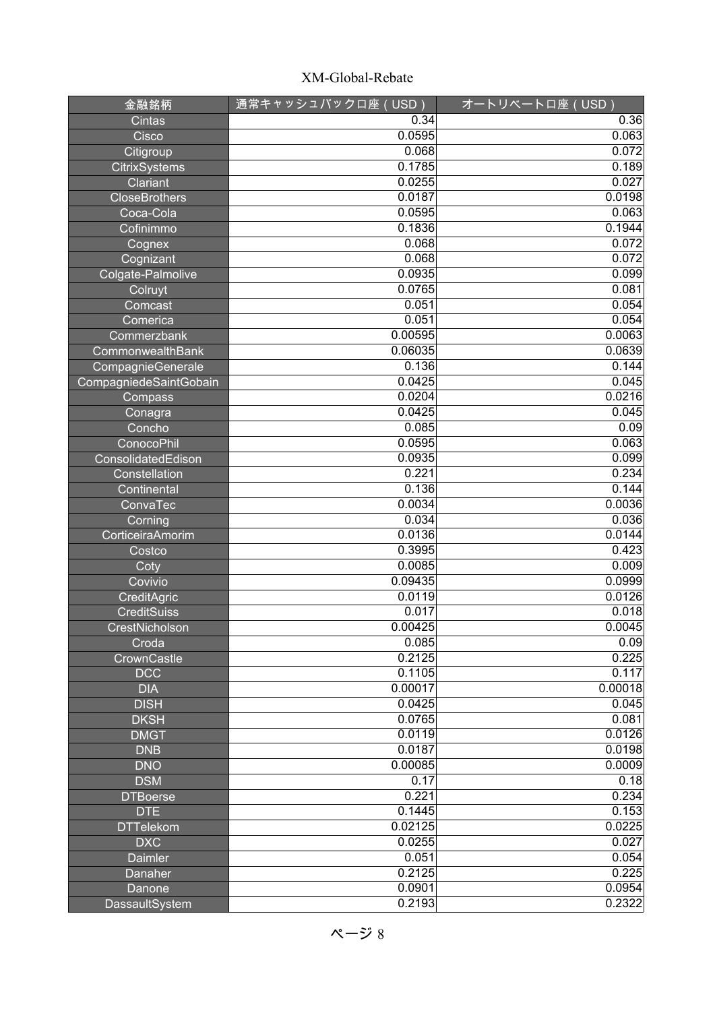| 金融銘柄                   | <u>通常キャ</u> ッシュバックロ座(USD) | オートリベートロ座 (USD) |
|------------------------|---------------------------|-----------------|
| Cintas                 | 0.34                      | 0.36            |
| Cisco                  | 0.0595                    | 0.063           |
| Citigroup              | 0.068                     | 0.072           |
| <b>CitrixSystems</b>   | 0.1785                    | 0.189           |
| Clariant               | 0.0255                    | 0.027           |
| <b>CloseBrothers</b>   | 0.0187                    | 0.0198          |
| Coca-Cola              | 0.0595                    | 0.063           |
| Cofinimmo              | 0.1836                    | 0.1944          |
| Cognex                 | 0.068                     | 0.072           |
| Cognizant              | 0.068                     | 0.072           |
| Colgate-Palmolive      | 0.0935                    | 0.099           |
| Colruyt                | 0.0765                    | 0.081           |
| Comcast                | 0.051                     | 0.054           |
| Comerica               | 0.051                     | 0.054           |
| Commerzbank            | 0.00595                   | 0.0063          |
| CommonwealthBank       | 0.06035                   | 0.0639          |
| CompagnieGenerale      | 0.136                     | 0.144           |
| CompagniedeSaintGobain | 0.0425                    | 0.045           |
| Compass                | 0.0204                    | 0.0216          |
| Conagra                | 0.0425                    | 0.045           |
| Concho                 | 0.085                     | 0.09            |
| <b>ConocoPhil</b>      | 0.0595                    | 0.063           |
| ConsolidatedEdison     | 0.0935                    | 0.099           |
| Constellation          | 0.221                     | 0.234           |
| Continental            | 0.136                     | 0.144           |
| ConvaTec               | 0.0034                    | 0.0036          |
| Corning                | 0.034                     | 0.036           |
| CorticeiraAmorim       | 0.0136                    | 0.0144          |
| Costco                 | 0.3995                    | 0.423           |
| Coty                   | 0.0085                    | 0.009           |
| Covivio                | 0.09435                   | 0.0999          |
| CreditAgric            | 0.0119                    | 0.0126          |
| <b>CreditSuiss</b>     | 0.017                     | 0.018           |
| CrestNicholson         | 0.00425                   | 0.0045          |
| Croda                  | 0.085                     | 0.09            |
| CrownCastle            | 0.2125                    | 0.225           |
| <b>DCC</b>             | 0.1105                    | 0.117           |
| <b>DIA</b>             | 0.00017                   | 0.00018         |
| <b>DISH</b>            | 0.0425                    | 0.045           |
| <b>DKSH</b>            | 0.0765                    | 0.081           |
| <b>DMGT</b>            | 0.0119                    | 0.0126          |
| <b>DNB</b>             | 0.0187                    | 0.0198          |
| <b>DNO</b>             | 0.00085                   | 0.0009          |
| <b>DSM</b>             | 0.17                      | 0.18            |
| <b>DTBoerse</b>        | 0.221                     | 0.234           |
| <b>DTE</b>             | 0.1445                    | 0.153           |
| <b>DTTelekom</b>       | 0.02125                   | 0.0225          |
| <b>DXC</b>             | 0.0255                    | 0.027           |
| <b>Daimler</b>         | 0.051                     | 0.054           |
| Danaher                | 0.2125                    | 0.225           |
| Danone                 | 0.0901                    | 0.0954          |
| DassaultSystem         | 0.2193                    | 0.2322          |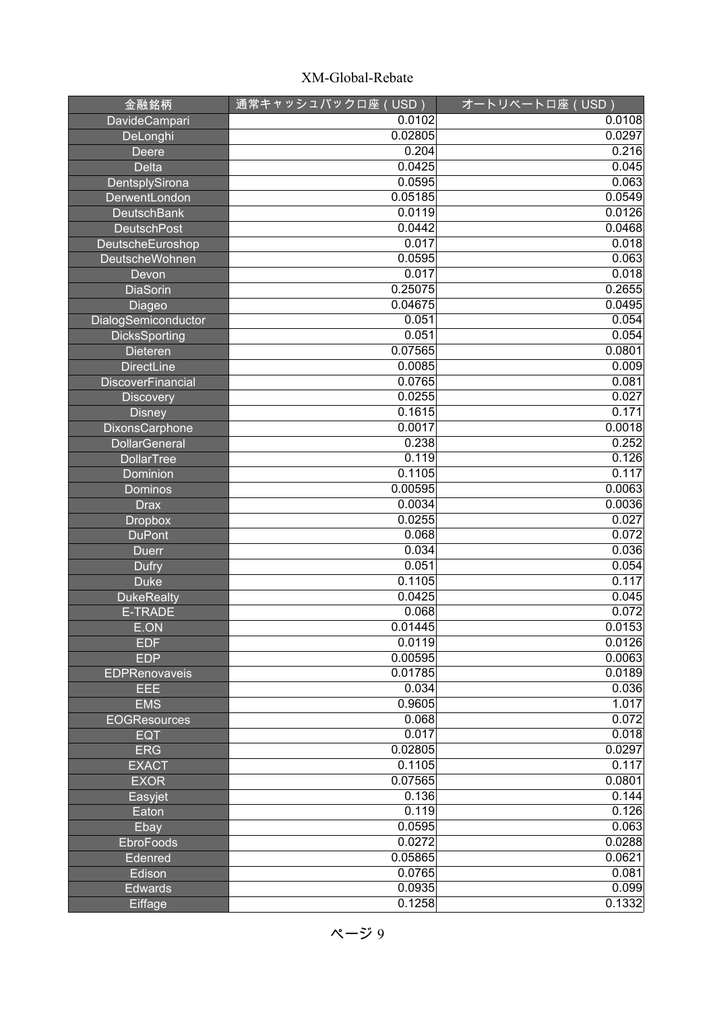| 金融銘柄                     | 通常キャッシュバックロ座 (USD) | オートリベートロ座 (USD) |
|--------------------------|--------------------|-----------------|
| DavideCampari            | 0.0102             | 0.0108          |
| DeLonghi                 | 0.02805            | 0.0297          |
| <b>Deere</b>             | 0.204              | 0.216           |
| <b>Delta</b>             | 0.0425             | 0.045           |
| DentsplySirona           | 0.0595             | 0.063           |
| DerwentLondon            | 0.05185            | 0.0549          |
| <b>DeutschBank</b>       | 0.0119             | 0.0126          |
| <b>DeutschPost</b>       | 0.0442             | 0.0468          |
| DeutscheEuroshop         | 0.017              | 0.018           |
| <b>DeutscheWohnen</b>    | 0.0595             | 0.063           |
| Devon                    | 0.017              | 0.018           |
| <b>DiaSorin</b>          | 0.25075            | 0.2655          |
| Diageo                   | 0.04675            | 0.0495          |
| DialogSemiconductor      | 0.051              | 0.054           |
| <b>DicksSporting</b>     | 0.051              | 0.054           |
| Dieteren                 | 0.07565            | 0.0801          |
| <b>DirectLine</b>        | 0.0085             | 0.009           |
| <b>DiscoverFinancial</b> | 0.0765             | 0.081           |
| <b>Discovery</b>         | 0.0255             | 0.027           |
| <b>Disney</b>            | 0.1615             | 0.171           |
| DixonsCarphone           | 0.0017             | 0.0018          |
| <b>DollarGeneral</b>     | 0.238              | 0.252           |
| <b>DollarTree</b>        | 0.119              | 0.126           |
| Dominion                 | 0.1105             | 0.117           |
| Dominos                  | 0.00595            | 0.0063          |
| <b>Drax</b>              | 0.0034             | 0.0036          |
| <b>Dropbox</b>           | 0.0255             | 0.027           |
| <b>DuPont</b>            | 0.068              | 0.072           |
| <b>Duerr</b>             | 0.034              | 0.036           |
| <b>Dufry</b>             | 0.051              | 0.054           |
| <b>Duke</b>              | 0.1105             | 0.117           |
| <b>DukeRealty</b>        | 0.0425             | 0.045           |
| <b>E-TRADE</b>           | 0.068              | 0.072           |
| E.ON                     | 0.01445            | 0.0153          |
| <b>EDF</b>               | 0.0119             | 0.0126          |
| <b>EDP</b>               | 0.00595            | 0.0063          |
| <b>EDPRenovaveis</b>     | 0.01785            | 0.0189          |
| EEE                      | 0.034              | 0.036           |
| <b>EMS</b>               | 0.9605             | 1.017           |
| <b>EOGResources</b>      | 0.068              | 0.072           |
| <b>EQT</b>               | 0.017              | 0.018           |
| <b>ERG</b>               | 0.02805            | 0.0297          |
| <b>EXACT</b>             | 0.1105             | 0.117           |
| <b>EXOR</b>              | 0.07565            | 0.0801          |
| Easyjet                  | 0.136              | 0.144           |
| Eaton                    | 0.119              | 0.126           |
| Ebay                     | 0.0595             | 0.063           |
| EbroFoods                | 0.0272             | 0.0288          |
| Edenred                  | 0.05865            | 0.0621          |
| Edison                   | 0.0765             | 0.081           |
| <b>Edwards</b>           | 0.0935             | 0.099           |
| Eiffage                  | 0.1258             | 0.1332          |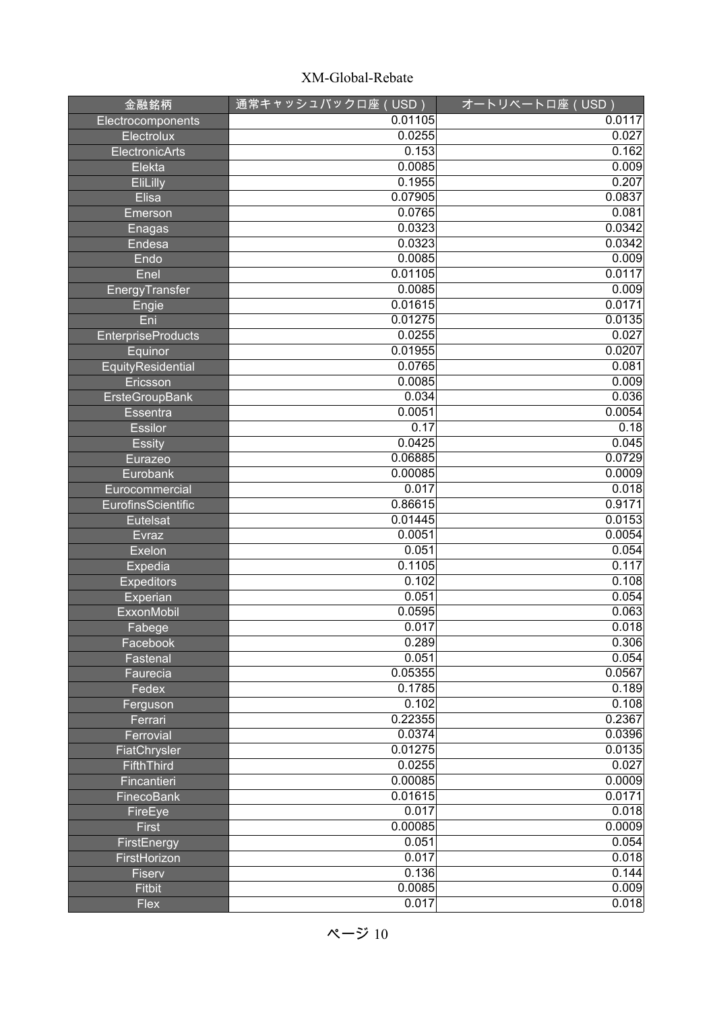| 金融銘柄                      | 通常キャッシュバックロ座(USD) | <u>オートリベートロ座(USD)</u> |
|---------------------------|-------------------|-----------------------|
| Electrocomponents         | 0.01105           | 0.0117                |
| Electrolux                | 0.0255            | 0.027                 |
| ElectronicArts            | 0.153             | 0.162                 |
| Elekta                    | 0.0085            | 0.009                 |
| EliLilly                  | 0.1955            | 0.207                 |
| <b>Elisa</b>              | 0.07905           | 0.0837                |
| Emerson                   | 0.0765            | 0.081                 |
| Enagas                    | 0.0323            | 0.0342                |
| Endesa                    | 0.0323            | 0.0342                |
| Endo                      | 0.0085            | 0.009                 |
| Enel                      | 0.01105           | 0.0117                |
| EnergyTransfer            | 0.0085            | 0.009                 |
| Engie                     | 0.01615           | 0.0171                |
| Eni                       | 0.01275           | 0.0135                |
| <b>EnterpriseProducts</b> | 0.0255            | 0.027                 |
| Equinor                   | 0.01955           | 0.0207                |
| EquityResidential         | 0.0765            | 0.081                 |
| Ericsson                  | 0.0085            | 0.009                 |
| <b>ErsteGroupBank</b>     | 0.034             | 0.036                 |
| <b>Essentra</b>           | 0.0051            | 0.0054                |
| <b>Essilor</b>            | 0.17              | 0.18                  |
| <b>Essity</b>             | 0.0425            | 0.045                 |
| Eurazeo                   | 0.06885           | 0.0729                |
| Eurobank                  | 0.00085           | 0.0009                |
| Eurocommercial            | 0.017             | 0.018                 |
| EurofinsScientific        | 0.86615           | 0.9171                |
| <b>Eutelsat</b>           | 0.01445           | 0.0153                |
| Evraz                     | 0.0051            | 0.0054                |
| Exelon                    | 0.051             | 0.054                 |
| Expedia                   | 0.1105            | 0.117                 |
| <b>Expeditors</b>         | 0.102             | 0.108                 |
| Experian                  | 0.051             | 0.054                 |
| <b>ExxonMobil</b>         | 0.0595            | 0.063                 |
| Fabege                    | 0.017             | 0.018                 |
| Facebook                  | 0.289             | 0.306                 |
| Fastenal                  | 0.051             | 0.054                 |
| Faurecia                  | 0.05355           | 0.0567                |
| Fedex                     | 0.1785            | 0.189                 |
| Ferguson                  | 0.102             | 0.108                 |
| Ferrari                   | 0.22355           | 0.2367                |
| Ferrovial                 | 0.0374            | 0.0396                |
| FiatChrysler              | 0.01275           | 0.0135                |
| FifthThird                | 0.0255            | 0.027                 |
| Fincantieri               | 0.00085           | 0.0009                |
| <b>FinecoBank</b>         | 0.01615           | 0.0171                |
| FireEye                   | 0.017             | 0.018                 |
| <b>First</b>              | 0.00085           | 0.0009                |
| FirstEnergy               | 0.051             | 0.054                 |
| FirstHorizon              | 0.017             | 0.018                 |
| Fiserv                    | 0.136             | 0.144                 |
| <b>Fitbit</b>             | 0.0085            | 0.009                 |
| <b>Flex</b>               | 0.017             | 0.018                 |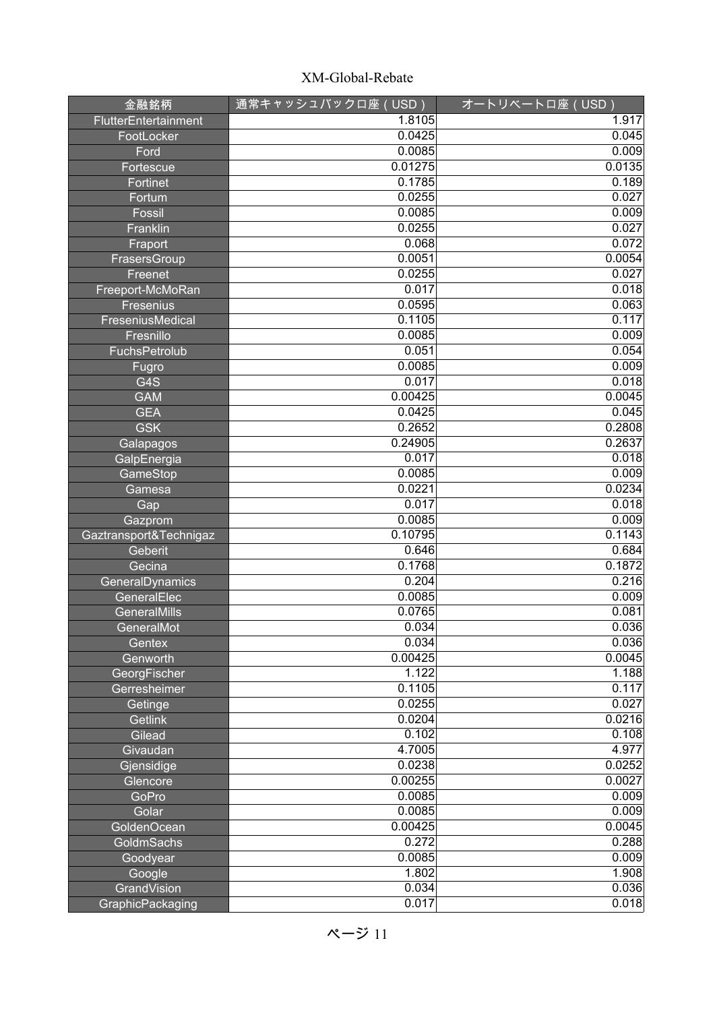| 金融銘柄                   | 通常キャッシュバックロ座(USD) | オートリベートロ座 (USD) |
|------------------------|-------------------|-----------------|
| FlutterEntertainment   | 1.8105            | 1.917           |
| FootLocker             | 0.0425            | 0.045           |
| Ford                   | 0.0085            | 0.009           |
| Fortescue              | 0.01275           | 0.0135          |
| Fortinet               | 0.1785            | 0.189           |
| Fortum                 | 0.0255            | 0.027           |
| Fossil                 | 0.0085            | 0.009           |
| Franklin               | 0.0255            | 0.027           |
| Fraport                | 0.068             | 0.072           |
| FrasersGroup           | 0.0051            | 0.0054          |
| Freenet                | 0.0255            | 0.027           |
| Freeport-McMoRan       | 0.017             | 0.018           |
| Fresenius              | 0.0595            | 0.063           |
| FreseniusMedical       | 0.1105            | 0.117           |
| Fresnillo              | 0.0085            | 0.009           |
| FuchsPetrolub          | 0.051             | 0.054           |
| Fugro                  | 0.0085            | 0.009           |
| G4S                    | 0.017             | 0.018           |
| <b>GAM</b>             | 0.00425           | 0.0045          |
| <b>GEA</b>             | 0.0425            | 0.045           |
| <b>GSK</b>             | 0.2652            | 0.2808          |
| Galapagos              | 0.24905           | 0.2637          |
| GalpEnergia            | 0.017             | 0.018           |
| GameStop               | 0.0085            | 0.009           |
| Gamesa                 | 0.0221            | 0.0234          |
| Gap                    | 0.017             | 0.018           |
| Gazprom                | 0.0085            | 0.009           |
| Gaztransport&Technigaz | 0.10795           | 0.1143          |
| Geberit                | 0.646             | 0.684           |
| Gecina                 | 0.1768            | 0.1872          |
| GeneralDynamics        | 0.204             | 0.216           |
| GeneralElec            | 0.0085            | 0.009           |
| GeneralMills           | 0.0765            | 0.081           |
| GeneralMot             | 0.034             | 0.036           |
| Gentex                 | 0.034             | 0.036           |
| Genworth               | 0.00425           | 0.0045          |
| GeorgFischer           | 1.122             | 1.188           |
| Gerresheimer           | 0.1105            | 0.117           |
| Getinge                | 0.0255            | 0.027           |
| Getlink                | 0.0204            | 0.0216          |
| Gilead                 | 0.102             | 0.108           |
| Givaudan               | 4.7005            | 4.977           |
| Gjensidige             | 0.0238            | 0.0252          |
| Glencore               | 0.00255           | 0.0027          |
| GoPro                  | 0.0085            | 0.009           |
| Golar                  | 0.0085            | 0.009           |
| GoldenOcean            | 0.00425           | 0.0045          |
| GoldmSachs             | 0.272             | 0.288           |
| Goodyear               | 0.0085            | 0.009           |
| Google                 | 1.802             | 1.908           |
| GrandVision            | 0.034             | 0.036           |
| GraphicPackaging       | 0.017             | 0.018           |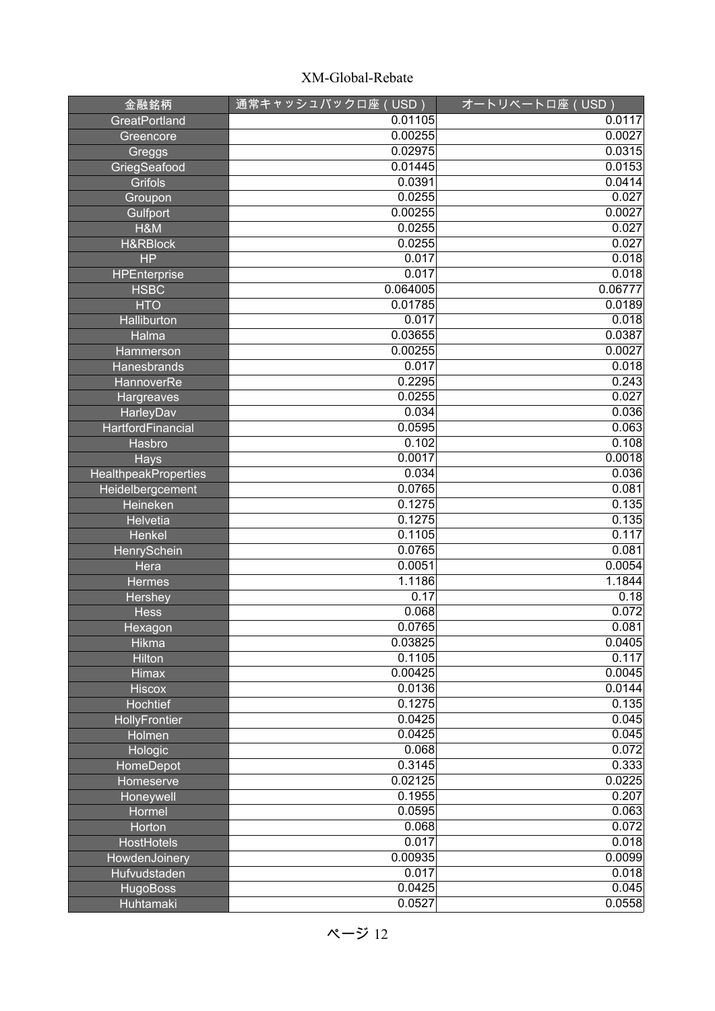| 金融銘柄                        | 通常キャッシュバックロ座 (USD) | <u>オートリベートロ座(USD)</u> |
|-----------------------------|--------------------|-----------------------|
| GreatPortland               | 0.01105            | 0.0117                |
| Greencore                   | 0.00255            | 0.0027                |
| Greggs                      | 0.02975            | 0.0315                |
| GriegSeafood                | 0.01445            | 0.0153                |
| <b>Grifols</b>              | 0.0391             | 0.0414                |
| Groupon                     | 0.0255             | 0.027                 |
| Gulfport                    | 0.00255            | 0.0027                |
| $H$ &M                      | 0.0255             | 0.027                 |
| <b>H&amp;RBlock</b>         | 0.0255             | 0.027                 |
| <b>HP</b>                   | 0.017              | 0.018                 |
| <b>HPEnterprise</b>         | 0.017              | 0.018                 |
| <b>HSBC</b>                 | 0.064005           | 0.06777               |
| <b>HTO</b>                  | 0.01785            | 0.0189                |
| Halliburton                 | 0.017              | 0.018                 |
| Halma                       | 0.03655            | 0.0387                |
| <b>Hammerson</b>            | 0.00255            | 0.0027                |
| Hanesbrands                 | 0.017              | 0.018                 |
| HannoverRe                  | 0.2295             | 0.243                 |
| Hargreaves                  | 0.0255             | 0.027                 |
| HarleyDav                   | 0.034              | 0.036                 |
| HartfordFinancial           | 0.0595             | 0.063                 |
| Hasbro                      | 0.102              | 0.108                 |
| Hays                        | 0.0017             | 0.0018                |
| <b>HealthpeakProperties</b> | 0.034              | 0.036                 |
| Heidelbergcement            | 0.0765             | 0.081                 |
| Heineken                    | 0.1275             | 0.135                 |
| <b>Helvetia</b>             | 0.1275             | 0.135                 |
| Henkel                      | 0.1105             | 0.117                 |
| <b>HenrySchein</b>          | 0.0765             | 0.081                 |
| Hera                        | 0.0051             | 0.0054                |
| <b>Hermes</b>               | 1.1186             | 1.1844                |
| Hershey                     | 0.17               | 0.18                  |
| Hess                        | 0.068              | 0.072                 |
| Hexagon                     | 0.0765             | 0.081                 |
| Hikma                       | 0.03825            | 0.0405                |
| Hilton                      | 0.1105             | 0.117                 |
| <b>Himax</b>                | 0.00425            | 0.0045                |
| <b>Hiscox</b>               | 0.0136             | 0.0144                |
| Hochtief                    | 0.1275<br>0.0425   | 0.135<br>0.045        |
| HollyFrontier               | 0.0425             | 0.045                 |
| Holmen                      | 0.068              | 0.072                 |
| Hologic                     | 0.3145             | 0.333                 |
| HomeDepot                   | 0.02125            | 0.0225                |
| Homeserve                   | 0.1955             | 0.207                 |
| Honeywell<br>Hormel         | 0.0595             | 0.063                 |
| Horton                      | 0.068              | 0.072                 |
| <b>HostHotels</b>           | 0.017              | 0.018                 |
| HowdenJoinery               | 0.00935            | 0.0099                |
| Hufvudstaden                | 0.017              | 0.018                 |
| <b>HugoBoss</b>             | 0.0425             | 0.045                 |
| Huhtamaki                   | 0.0527             | 0.0558                |
|                             |                    |                       |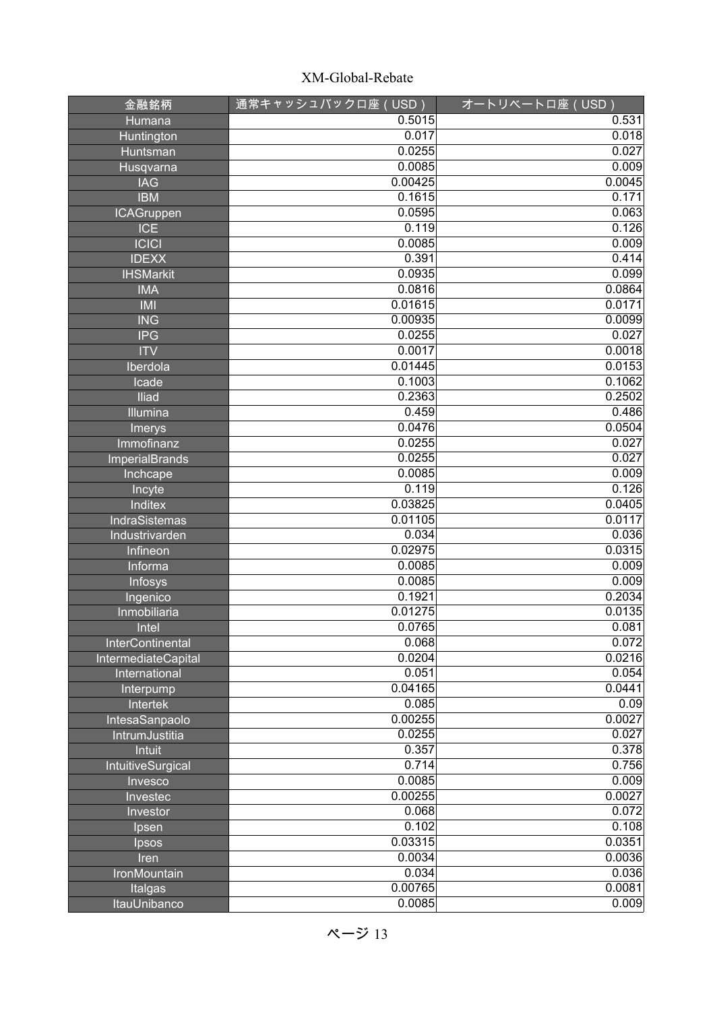| 金融銘柄                    | 通常キャッシュバックロ座(USD) | オートリベートロ座 (USD) |
|-------------------------|-------------------|-----------------|
| Humana                  | 0.5015            | 0.531           |
| Huntington              | 0.017             | 0.018           |
| <b>Huntsman</b>         | 0.0255            | 0.027           |
| Husqvarna               | 0.0085            | 0.009           |
| <b>IAG</b>              | 0.00425           | 0.0045          |
| <b>IBM</b>              | 0.1615            | 0.171           |
| <b>ICAGruppen</b>       | 0.0595            | 0.063           |
| <b>ICE</b>              | 0.119             | 0.126           |
| C C                     | 0.0085            | 0.009           |
| <b>IDEXX</b>            | 0.391             | 0.414           |
| <b>IHSMarkit</b>        | 0.0935            | 0.099           |
| <b>IMA</b>              | 0.0816            | 0.0864          |
| <b>IMI</b>              | 0.01615           | 0.0171          |
| <b>ING</b>              | 0.00935           | 0.0099          |
| <b>IPG</b>              | 0.0255            | 0.027           |
| <b>ITV</b>              | 0.0017            | 0.0018          |
| Iberdola                | 0.01445           | 0.0153          |
| Icade                   | 0.1003            | 0.1062          |
| Iliad                   | 0.2363            | 0.2502          |
| Illumina                | 0.459             | 0.486           |
| Imerys                  | 0.0476            | 0.0504          |
| Immofinanz              | 0.0255            | 0.027           |
| <b>ImperialBrands</b>   | 0.0255            | 0.027           |
| Inchcape                | 0.0085            | 0.009           |
| Incyte                  | 0.119             | 0.126           |
| <b>Inditex</b>          | 0.03825           | 0.0405          |
| <b>IndraSistemas</b>    | 0.01105           | 0.0117          |
| Industrivarden          | 0.034             | 0.036           |
| Infineon                | 0.02975           | 0.0315          |
| Informa                 | 0.0085            | 0.009           |
| Infosys                 | 0.0085            | 0.009           |
| Ingenico                | 0.1921            | 0.2034          |
| Inmobiliaria            | 0.01275           | 0.0135          |
| Intel                   | 0.0765            | 0.081           |
| <b>InterContinental</b> | 0.068             | 0.072           |
| IntermediateCapital     | 0.0204            | 0.0216          |
| International           | 0.051             | 0.054           |
| Interpump               | 0.04165           | 0.0441          |
| Intertek                | 0.085             | 0.09            |
| IntesaSanpaolo          | 0.00255           | 0.0027          |
| IntrumJustitia          | 0.0255            | 0.027           |
| Intuit                  | 0.357             | 0.378           |
| IntuitiveSurgical       | 0.714             | 0.756           |
| Invesco                 | 0.0085            | 0.009           |
| Investec                | 0.00255           | 0.0027          |
| Investor                | 0.068             | 0.072           |
| Ipsen                   | 0.102             | 0.108           |
| Ipsos                   | 0.03315           | 0.0351          |
| Iren                    | 0.0034            | 0.0036          |
| IronMountain            | 0.034             | 0.036           |
| Italgas                 | 0.00765           | 0.0081          |
| <b>ItauUnibanco</b>     | 0.0085            | 0.009           |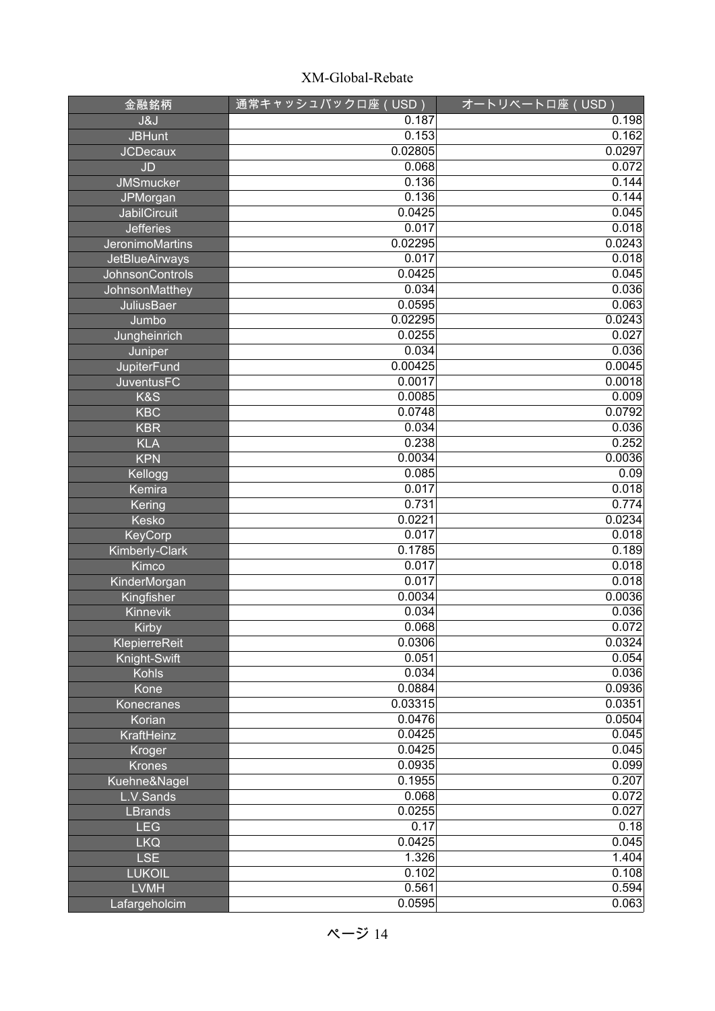| 金融銘柄                   | <u>通常キャ</u> ッシュバック口座(USD) | オートリベートロ座 (USD) |
|------------------------|---------------------------|-----------------|
| <b>J&amp;J</b>         | 0.187                     | 0.198           |
| <b>JBHunt</b>          | 0.153                     | 0.162           |
| <b>JCDecaux</b>        | 0.02805                   | 0.0297          |
| JD                     | 0.068                     | 0.072           |
| <b>JMSmucker</b>       | 0.136                     | 0.144           |
| JPMorgan               | 0.136                     | 0.144           |
| <b>JabilCircuit</b>    | 0.0425                    | 0.045           |
| <b>Jefferies</b>       | 0.017                     | 0.018           |
| JeronimoMartins        | 0.02295                   | 0.0243          |
| <b>JetBlueAirways</b>  | 0.017                     | 0.018           |
| <b>JohnsonControls</b> | 0.0425                    | 0.045           |
| JohnsonMatthey         | 0.034                     | 0.036           |
| <b>JuliusBaer</b>      | 0.0595                    | 0.063           |
| Jumbo                  | 0.02295                   | 0.0243          |
| Jungheinrich           | 0.0255                    | 0.027           |
| Juniper                | 0.034                     | 0.036           |
| JupiterFund            | 0.00425                   | 0.0045          |
| <b>JuventusFC</b>      | 0.0017                    | 0.0018          |
| K&S                    | 0.0085                    | 0.009           |
| <b>KBC</b>             | 0.0748                    | 0.0792          |
| <b>KBR</b>             | 0.034                     | 0.036           |
| <b>KLA</b>             | 0.238                     | 0.252           |
| <b>KPN</b>             | 0.0034                    | 0.0036          |
| Kellogg                | 0.085                     | 0.09            |
| Kemira                 | 0.017                     | 0.018           |
| Kering                 | 0.731                     | 0.774           |
| Kesko                  | 0.0221                    | 0.0234          |
| <b>KeyCorp</b>         | 0.017                     | 0.018           |
| <b>Kimberly-Clark</b>  | 0.1785                    | 0.189           |
| Kimco                  | 0.017                     | 0.018           |
| KinderMorgan           | 0.017                     | 0.018           |
| Kingfisher             | 0.0034                    | 0.0036          |
| Kinnevik               | 0.034                     | 0.036           |
| <b>Kirby</b>           | 0.068                     | 0.072           |
| <b>KlepierreReit</b>   | 0.0306                    | 0.0324          |
| Knight-Swift           | 0.051                     | 0.054           |
| <b>Kohls</b>           | 0.034                     | 0.036           |
| Kone                   | 0.0884                    | 0.0936          |
| Konecranes             | 0.03315                   | 0.0351          |
| Korian                 | 0.0476                    | 0.0504          |
| KraftHeinz             | 0.0425                    | 0.045           |
| Kroger                 | 0.0425                    | 0.045           |
| <b>Krones</b>          | 0.0935                    | 0.099           |
| Kuehne&Nagel           | 0.1955                    | 0.207           |
| L.V.Sands              | 0.068                     | 0.072           |
| <b>LBrands</b>         | 0.0255                    | 0.027           |
| <b>LEG</b>             | 0.17                      | 0.18            |
| <b>LKQ</b>             | 0.0425                    | 0.045           |
| <b>LSE</b>             | 1.326                     | 1.404           |
| <b>LUKOIL</b>          | 0.102                     | 0.108           |
| <b>LVMH</b>            | 0.561                     | 0.594           |
| Lafargeholcim          | 0.0595                    | 0.063           |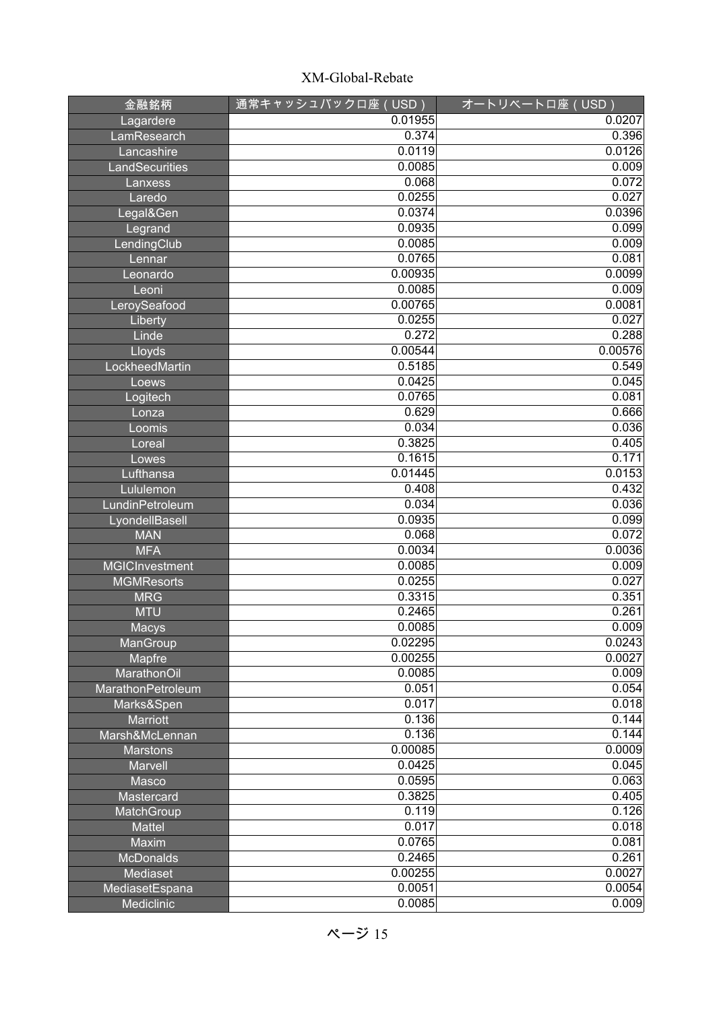| 金融銘柄                         | 通常キャッシュバックロ座 (USD) | オートリベートロ座 (USD)  |
|------------------------------|--------------------|------------------|
| Lagardere                    | 0.01955            | 0.0207           |
| LamResearch                  | 0.374              | 0.396            |
| Lancashire                   | 0.0119             | 0.0126           |
| LandSecurities               | 0.0085             | 0.009            |
| Lanxess                      | 0.068              | 0.072            |
| Laredo                       | 0.0255             | 0.027            |
| Legal&Gen                    | 0.0374             | 0.0396           |
| Legrand                      | 0.0935             | 0.099            |
| LendingClub                  | 0.0085             | 0.009            |
| Lennar                       | 0.0765             | 0.081            |
| Leonardo                     | 0.00935            | 0.0099           |
| Leoni                        | 0.0085             | 0.009            |
| LeroySeafood                 | 0.00765            | 0.0081           |
| Liberty                      | 0.0255             | 0.027            |
| Linde                        | 0.272              | 0.288            |
| Lloyds                       | 0.00544            | 0.00576          |
| LockheedMartin               | 0.5185             | 0.549            |
| Loews                        | 0.0425             | 0.045            |
| Logitech                     | 0.0765             | 0.081            |
| Lonza                        | 0.629              | 0.666            |
| Loomis                       | 0.034              | 0.036            |
| Loreal                       | 0.3825             | 0.405            |
| Lowes                        | 0.1615             | 0.171            |
| Lufthansa                    | 0.01445            | 0.0153           |
| Lululemon                    | 0.408              | 0.432            |
| LundinPetroleum              | 0.034              | 0.036            |
| LyondellBasell               | 0.0935             | 0.099            |
| <b>MAN</b>                   | 0.068              | 0.072            |
| <b>MFA</b>                   | 0.0034             | 0.0036           |
| <b>MGICInvestment</b>        | 0.0085             | 0.009            |
| <b>MGMResorts</b>            | 0.0255             | 0.027            |
| <b>MRG</b>                   | 0.3315             | 0.351            |
| <b>MTU</b>                   | 0.2465             | 0.261            |
| Macys                        | 0.0085             | 0.009            |
| ManGroup                     | 0.02295<br>0.00255 | 0.0243<br>0.0027 |
| Mapfre<br><b>MarathonOil</b> | 0.0085             | 0.009            |
| MarathonPetroleum            | 0.051              | 0.054            |
| Marks&Spen                   | 0.017              | 0.018            |
| Marriott                     | 0.136              | 0.144            |
| Marsh&McLennan               | 0.136              | 0.144            |
| <b>Marstons</b>              | 0.00085            | 0.0009           |
| Marvell                      | 0.0425             | 0.045            |
| Masco                        | 0.0595             | 0.063            |
| Mastercard                   | 0.3825             | 0.405            |
| MatchGroup                   | 0.119              | 0.126            |
| <b>Mattel</b>                | 0.017              | 0.018            |
| Maxim                        | 0.0765             | 0.081            |
| <b>McDonalds</b>             | 0.2465             | 0.261            |
| Mediaset                     | 0.00255            | 0.0027           |
| MediasetEspana               | 0.0051             | 0.0054           |
| Mediclinic                   | 0.0085             | 0.009            |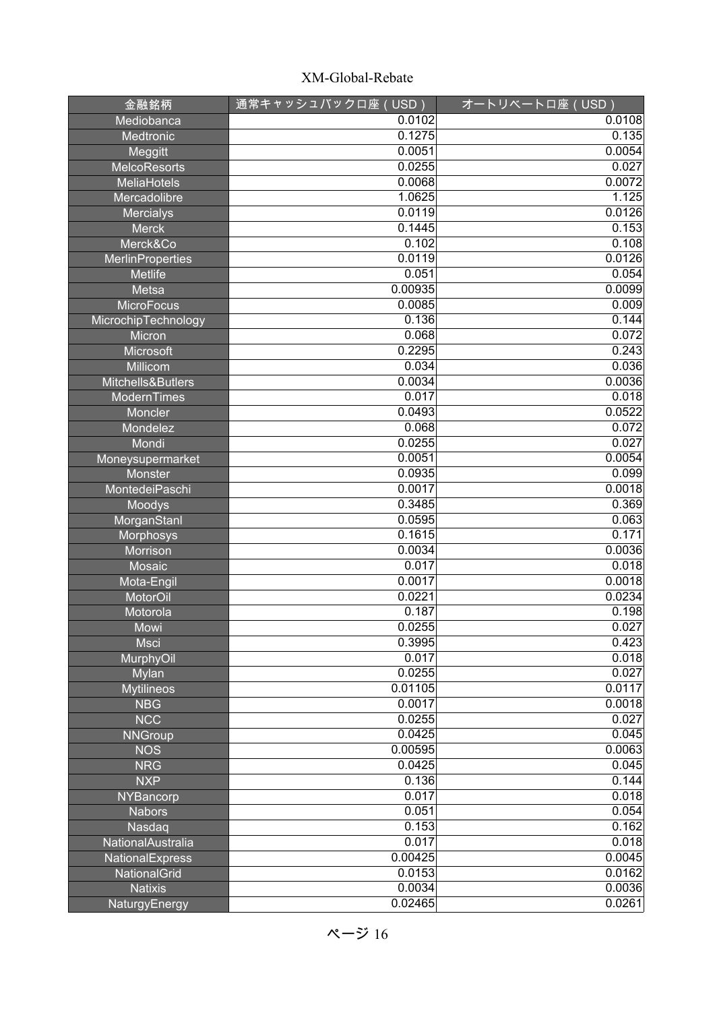| 金融銘柄                    | 通常キャッシュバックロ座(USD) | オートリベートロ座 (USD)  |
|-------------------------|-------------------|------------------|
| Mediobanca              | 0.0102            | 0.0108           |
| Medtronic               | 0.1275            | 0.135            |
| Meggitt                 | 0.0051            | 0.0054           |
| <b>MelcoResorts</b>     | 0.0255            | 0.027            |
| <b>MeliaHotels</b>      | 0.0068            | 0.0072           |
| Mercadolibre            | 1.0625            | 1.125            |
| <b>Mercialys</b>        | 0.0119            | 0.0126           |
| <b>Merck</b>            | 0.1445            | 0.153            |
| Merck&Co                | 0.102             | 0.108            |
| <b>MerlinProperties</b> | 0.0119            | 0.0126           |
| <b>Metlife</b>          | 0.051             | 0.054            |
| Metsa                   | 0.00935           | 0.0099           |
| <b>MicroFocus</b>       | 0.0085            | 0.009            |
| MicrochipTechnology     | 0.136             | 0.144            |
| Micron                  | 0.068             | 0.072            |
| Microsoft               | 0.2295            | 0.243            |
| Millicom                | 0.034             | 0.036            |
| Mitchells&Butlers       | 0.0034            | 0.0036           |
| <b>ModernTimes</b>      | 0.017             | 0.018            |
| Moncler                 | 0.0493            | 0.0522           |
| Mondelez                | 0.068             | 0.072            |
| Mondi                   | 0.0255            | 0.027            |
| Moneysupermarket        | 0.0051            | 0.0054           |
| Monster                 | 0.0935            | 0.099            |
| MontedeiPaschi          | 0.0017            | 0.0018           |
| Moodys                  | 0.3485            | 0.369            |
| MorganStanl             | 0.0595            | 0.063            |
| Morphosys               | 0.1615            | 0.171            |
| Morrison                | 0.0034            | 0.0036           |
| Mosaic                  | 0.017<br>0.0017   | 0.018            |
| Mota-Engil              | 0.0221            | 0.0018<br>0.0234 |
| MotorOil                | 0.187             | 0.198            |
| Motorola<br>Mowi        | 0.0255            | 0.027            |
| <b>Msci</b>             | 0.3995            | 0.423            |
| MurphyOil               | 0.017             | 0.018            |
| Mylan                   | 0.0255            | 0.027            |
| <b>Mytilineos</b>       | 0.01105           | 0.0117           |
| <b>NBG</b>              | 0.0017            | 0.0018           |
| <b>NCC</b>              | 0.0255            | 0.027            |
| <b>NNGroup</b>          | 0.0425            | 0.045            |
| <b>NOS</b>              | 0.00595           | 0.0063           |
| <b>NRG</b>              | 0.0425            | 0.045            |
| <b>NXP</b>              | 0.136             | 0.144            |
| <b>NYBancorp</b>        | 0.017             | 0.018            |
| <b>Nabors</b>           | 0.051             | 0.054            |
| Nasdaq                  | 0.153             | 0.162            |
| NationalAustralia       | 0.017             | 0.018            |
| NationalExpress         | 0.00425           | 0.0045           |
| NationalGrid            | 0.0153            | 0.0162           |
| <b>Natixis</b>          | 0.0034            | 0.0036           |
| <b>NaturgyEnergy</b>    | 0.02465           | 0.0261           |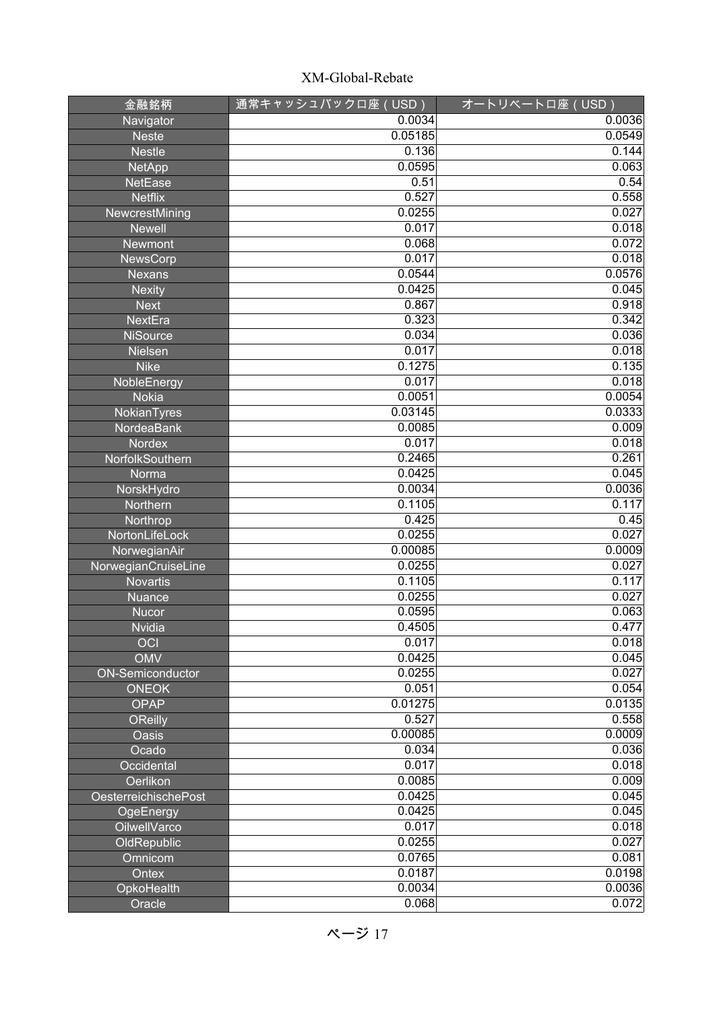| 金融銘柄                        | 通常キャッシュバックロ座(USD) | オートリベートロ座 (USD) |
|-----------------------------|-------------------|-----------------|
| Navigator                   | 0.0034            | 0.0036          |
| <b>Neste</b>                | 0.05185           | 0.0549          |
| <b>Nestle</b>               | 0.136             | 0.144           |
| <b>NetApp</b>               | 0.0595            | 0.063           |
| <b>NetEase</b>              | 0.51              | 0.54            |
| <b>Netflix</b>              | 0.527             | 0.558           |
| NewcrestMining              | 0.0255            | 0.027           |
| <b>Newell</b>               | 0.017             | 0.018           |
| <b>Newmont</b>              | 0.068             | 0.072           |
| <b>NewsCorp</b>             | 0.017             | 0.018           |
| <b>Nexans</b>               | 0.0544            | 0.0576          |
| <b>Nexity</b>               | 0.0425            | 0.045           |
| <b>Next</b>                 | 0.867             | 0.918           |
| NextEra                     | 0.323             | 0.342           |
| <b>NiSource</b>             | 0.034             | 0.036           |
| Nielsen                     | 0.017             | 0.018           |
| <b>Nike</b>                 | 0.1275            | 0.135           |
| NobleEnergy                 | 0.017             | 0.018           |
| <b>Nokia</b>                | 0.0051            | 0.0054          |
| NokianTyres                 | 0.03145           | 0.0333          |
| NordeaBank                  | 0.0085            | 0.009           |
| <b>Nordex</b>               | 0.017             | 0.018           |
| NorfolkSouthern             | 0.2465            | 0.261           |
| Norma                       | 0.0425            | 0.045           |
| NorskHydro                  | 0.0034            | 0.0036          |
| Northern                    | 0.1105            | 0.117           |
| Northrop                    | 0.425             | 0.45            |
| NortonLifeLock              | 0.0255            | 0.027           |
| NorwegianAir                | 0.00085           | 0.0009          |
| NorwegianCruiseLine         | 0.0255            | 0.027           |
| <b>Novartis</b>             | 0.1105            | 0.117           |
| <b>Nuance</b>               | 0.0255            | 0.027           |
| <b>Nucor</b>                | 0.0595            | 0.063           |
| <b>Nvidia</b>               | 0.4505            | 0.477           |
| OCI                         | 0.017             | 0.018           |
| <b>OMV</b>                  | 0.0425            | 0.045           |
| <b>ON-Semiconductor</b>     | 0.0255            | 0.027           |
| <b>ONEOK</b>                | 0.051             | 0.054           |
| <b>OPAP</b>                 | 0.01275           | 0.0135          |
| <b>OReilly</b>              | 0.527             | 0.558           |
| Oasis                       | 0.00085           | 0.0009          |
| Ocado                       | 0.034             | 0.036           |
| Occidental                  | 0.017             | 0.018           |
| Oerlikon                    | 0.0085            | 0.009           |
| <b>OesterreichischePost</b> | 0.0425            | 0.045           |
| OgeEnergy                   | 0.0425            | 0.045           |
| OilwellVarco                | 0.017             | 0.018           |
| OldRepublic                 | 0.0255            | 0.027           |
| Omnicom                     | 0.0765            | 0.081           |
| Ontex                       | 0.0187            | 0.0198          |
| OpkoHealth                  | 0.0034            | 0.0036          |
| Oracle                      | 0.068             | 0.072           |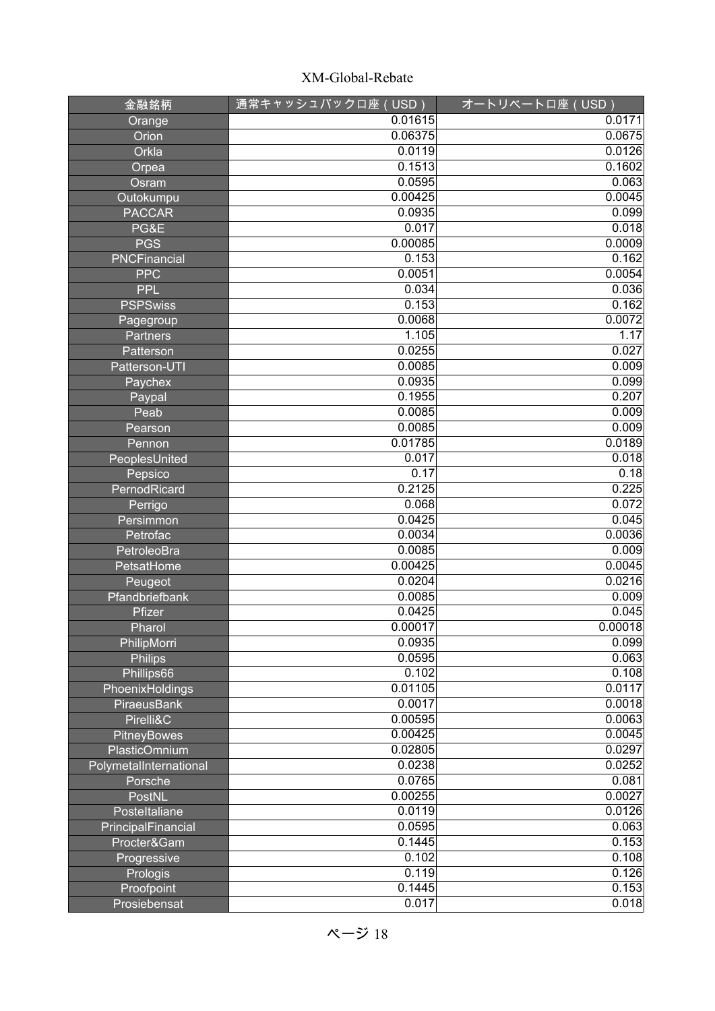| 金融銘柄                   | 通常キャッシュバックロ座(USD) | オートリベートロ座 (USD) |
|------------------------|-------------------|-----------------|
| Orange                 | 0.01615           | 0.0171          |
| Orion                  | 0.06375           | 0.0675          |
| Orkla                  | 0.0119            | 0.0126          |
| Orpea                  | 0.1513            | 0.1602          |
| Osram                  | 0.0595            | 0.063           |
| Outokumpu              | 0.00425           | 0.0045          |
| <b>PACCAR</b>          | 0.0935            | 0.099           |
| PG&E                   | 0.017             | 0.018           |
| <b>PGS</b>             | 0.00085           | 0.0009          |
| <b>PNCFinancial</b>    | 0.153             | 0.162           |
| <b>PPC</b>             | 0.0051            | 0.0054          |
| <b>PPL</b>             | 0.034             | 0.036           |
| <b>PSPSwiss</b>        | 0.153             | 0.162           |
| Pagegroup              | 0.0068            | 0.0072          |
| <b>Partners</b>        | 1.105             | 1.17            |
| Patterson              | 0.0255            | 0.027           |
| Patterson-UTI          | 0.0085            | 0.009           |
| Paychex                | 0.0935            | 0.099           |
| Paypal                 | 0.1955            | 0.207           |
| Peab                   | 0.0085            | 0.009           |
| Pearson                | 0.0085            | 0.009           |
| Pennon                 | 0.01785           | 0.0189          |
| PeoplesUnited          | 0.017             | 0.018           |
| Pepsico                | 0.17              | 0.18            |
| PernodRicard           | 0.2125            | 0.225           |
| Perrigo                | 0.068             | 0.072           |
| Persimmon              | 0.0425            | 0.045           |
| Petrofac               | 0.0034            | 0.0036          |
| PetroleoBra            | 0.0085            | 0.009           |
| PetsatHome             | 0.00425           | 0.0045          |
| Peugeot                | 0.0204            | 0.0216          |
| Pfandbriefbank         | 0.0085            | 0.009           |
| Pfizer                 | 0.0425            | 0.045           |
| Pharol                 | 0.00017           | 0.00018         |
| PhilipMorri            | 0.0935            | 0.099           |
| <b>Philips</b>         | 0.0595            | 0.063           |
| Phillips66             | 0.102             | 0.108           |
| PhoenixHoldings        | 0.01105           | 0.0117          |
| PiraeusBank            | 0.0017            | 0.0018          |
| Pirelli&C              | 0.00595           | 0.0063          |
| PitneyBowes            | 0.00425           | 0.0045          |
| PlasticOmnium          | 0.02805           | 0.0297          |
| PolymetalInternational | 0.0238            | 0.0252          |
| Porsche                | 0.0765            | 0.081           |
| PostNL                 | 0.00255           | 0.0027          |
| Posteltaliane          | 0.0119            | 0.0126          |
| PrincipalFinancial     | 0.0595            | 0.063           |
| Procter&Gam            | 0.1445            | 0.153           |
| Progressive            | 0.102             | 0.108           |
| Prologis               | 0.119             | 0.126           |
| Proofpoint             | 0.1445            | 0.153           |
| Prosiebensat           | 0.017             | 0.018           |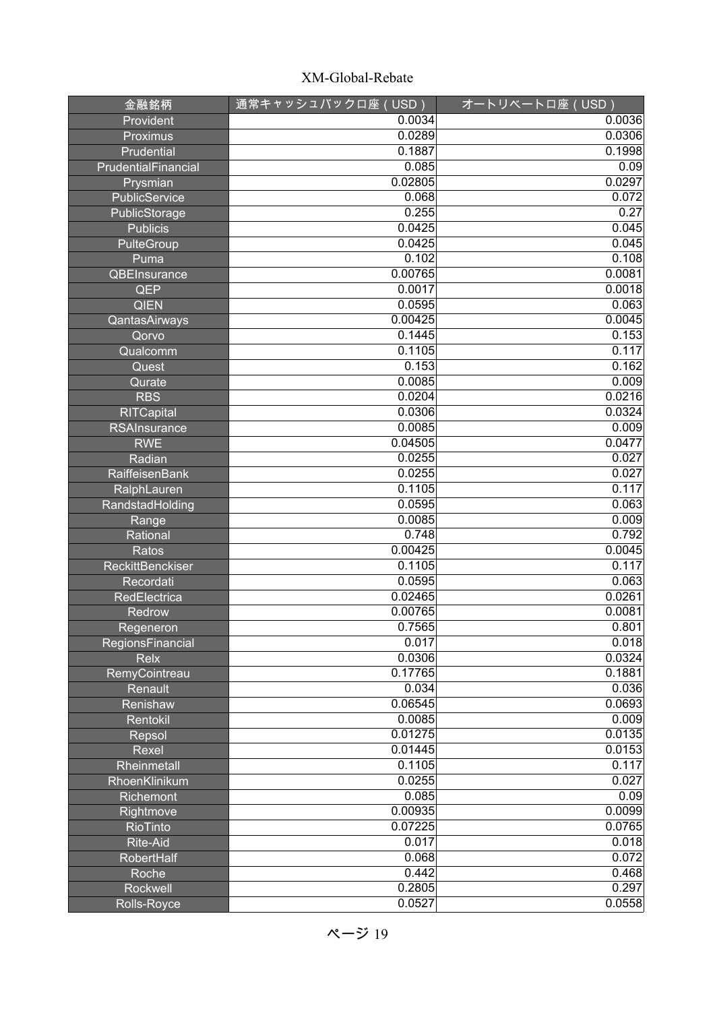| 金融銘柄                    | 通常キャッシュバックロ座 (USD) | オートリベートロ座 (USD) |
|-------------------------|--------------------|-----------------|
| Provident               | 0.0034             | 0.0036          |
| Proximus                | 0.0289             | 0.0306          |
| Prudential              | 0.1887             | 0.1998          |
| PrudentialFinancial     | 0.085              | 0.09            |
| Prysmian                | 0.02805            | 0.0297          |
| PublicService           | 0.068              | 0.072           |
| PublicStorage           | 0.255              | 0.27            |
| <b>Publicis</b>         | 0.0425             | 0.045           |
| <b>PulteGroup</b>       | 0.0425             | 0.045           |
| Puma                    | 0.102              | 0.108           |
| QBEInsurance            | 0.00765            | 0.0081          |
| <b>QEP</b>              | 0.0017             | 0.0018          |
| <b>QIEN</b>             | 0.0595             | 0.063           |
| QantasAirways           | 0.00425            | 0.0045          |
| Qorvo                   | 0.1445             | 0.153           |
| Qualcomm                | 0.1105             | 0.117           |
| Quest                   | 0.153              | 0.162           |
| Qurate                  | 0.0085             | 0.009           |
| <b>RBS</b>              | 0.0204             | 0.0216          |
| <b>RITCapital</b>       | 0.0306             | 0.0324          |
| <b>RSAInsurance</b>     | 0.0085             | 0.009           |
| <b>RWE</b>              | 0.04505            | 0.0477          |
| Radian                  | 0.0255             | 0.027           |
| <b>RaiffeisenBank</b>   | 0.0255             | 0.027           |
| RalphLauren             | 0.1105             | 0.117           |
| RandstadHolding         | 0.0595             | 0.063           |
| Range                   | 0.0085             | 0.009           |
| Rational                | 0.748              | 0.792           |
| Ratos                   | 0.00425            | 0.0045          |
| <b>ReckittBenckiser</b> | 0.1105             | 0.117           |
| Recordati               | 0.0595             | 0.063           |
| RedElectrica            | 0.02465            | 0.0261          |
| <b>Redrow</b>           | 0.00765            | 0.0081          |
| Regeneron               | 0.7565             | 0.801           |
| RegionsFinancial        | 0.017              | 0.018           |
| <b>Relx</b>             | 0.0306             | 0.0324          |
| RemyCointreau           | 0.17765            | 0.1881          |
| Renault                 | 0.034              | 0.036           |
| Renishaw                | 0.06545            | 0.0693          |
| Rentokil                | 0.0085             | 0.009           |
| Repsol                  | 0.01275            | 0.0135          |
| Rexel                   | 0.01445            | 0.0153          |
| Rheinmetall             | 0.1105             | 0.117           |
| RhoenKlinikum           | 0.0255             | 0.027           |
| Richemont               | 0.085              | 0.09            |
| Rightmove               | 0.00935            | 0.0099          |
| RioTinto                | 0.07225            | 0.0765          |
| <b>Rite-Aid</b>         | 0.017              | 0.018           |
| RobertHalf              | 0.068              | 0.072           |
| Roche                   | 0.442              | 0.468           |
| Rockwell                | 0.2805             | 0.297           |
| Rolls-Royce             | 0.0527             | 0.0558          |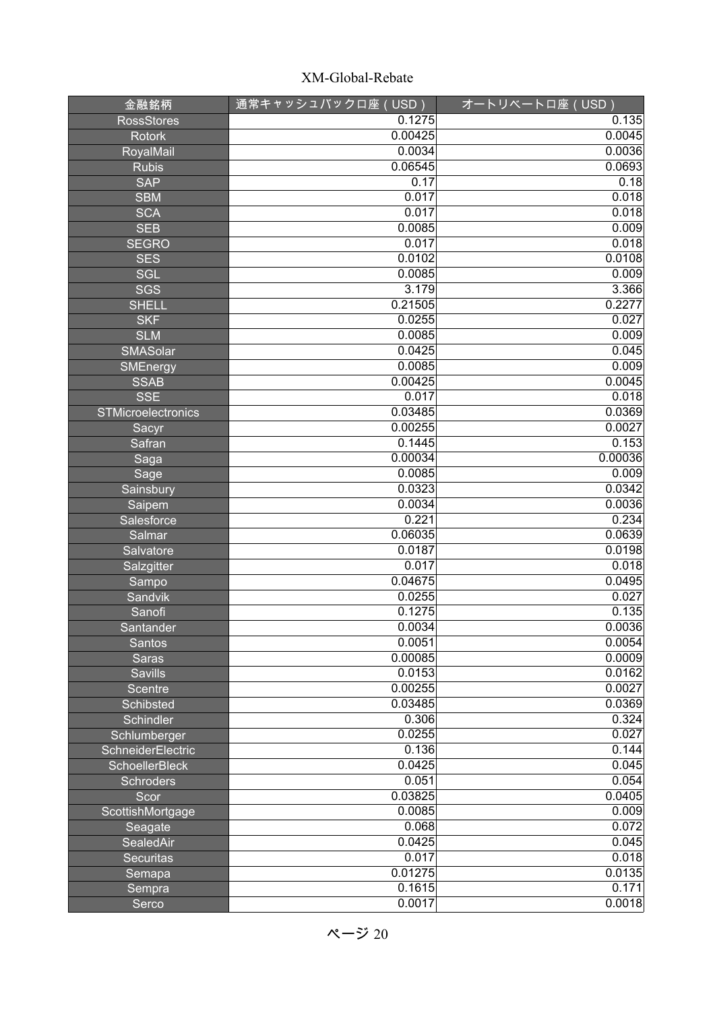| 金融銘柄                  | <u>通常キャ</u> ッシュバックロ座(USD) | オートリベートロ座 (USD) |
|-----------------------|---------------------------|-----------------|
| <b>RossStores</b>     | 0.1275                    | 0.135           |
| <b>Rotork</b>         | 0.00425                   | 0.0045          |
| RoyalMail             | 0.0034                    | 0.0036          |
| <b>Rubis</b>          | 0.06545                   | 0.0693          |
| <b>SAP</b>            | 0.17                      | 0.18            |
| <b>SBM</b>            | 0.017                     | 0.018           |
| <b>SCA</b>            | 0.017                     | 0.018           |
| <b>SEB</b>            | 0.0085                    | 0.009           |
| <b>SEGRO</b>          | 0.017                     | 0.018           |
| <b>SES</b>            | 0.0102                    | 0.0108          |
| <b>SGL</b>            | 0.0085                    | 0.009           |
| SGS                   | 3.179                     | 3.366           |
| <b>SHELL</b>          | 0.21505                   | 0.2277          |
| <b>SKF</b>            | 0.0255                    | 0.027           |
| <b>SLM</b>            | 0.0085                    | 0.009           |
| SMASolar              | 0.0425                    | 0.045           |
| SMEnergy              | 0.0085                    | 0.009           |
| <b>SSAB</b>           | 0.00425                   | 0.0045          |
| <b>SSE</b>            | 0.017                     | 0.018           |
| STMicroelectronics    | 0.03485                   | 0.0369          |
| Sacyr                 | 0.00255                   | 0.0027          |
| Safran                | 0.1445                    | 0.153           |
| Saga                  | 0.00034                   | 0.00036         |
| Sage                  | 0.0085                    | 0.009           |
| Sainsbury             | 0.0323                    | 0.0342          |
| Saipem                | 0.0034                    | 0.0036          |
| Salesforce            | 0.221                     | 0.234           |
| Salmar                | 0.06035                   | 0.0639          |
| Salvatore             | 0.0187                    | 0.0198          |
| Salzgitter            | 0.017                     | 0.018           |
| Sampo                 | 0.04675                   | 0.0495          |
| Sandvik               | 0.0255                    | 0.027           |
| Sanofi                | 0.1275                    | 0.135           |
| Santander             | 0.0034                    | 0.0036          |
| <b>Santos</b>         | 0.0051                    | 0.0054          |
| Saras                 | 0.00085                   | 0.0009          |
| <b>Savills</b>        | 0.0153                    | 0.0162          |
| <b>Scentre</b>        | 0.00255                   | 0.0027          |
| <b>Schibsted</b>      | 0.03485                   | 0.0369          |
| Schindler             | 0.306                     | 0.324           |
| Schlumberger          | 0.0255                    | 0.027           |
| SchneiderElectric     | 0.136                     | 0.144           |
| <b>SchoellerBleck</b> | 0.0425                    | 0.045           |
| <b>Schroders</b>      | 0.051                     | 0.054           |
| Scor                  | 0.03825                   | 0.0405          |
| ScottishMortgage      | 0.0085                    | 0.009           |
| Seagate               | 0.068                     | 0.072           |
| SealedAir             | 0.0425                    | 0.045           |
| <b>Securitas</b>      | 0.017                     | 0.018           |
| Semapa                | 0.01275                   | 0.0135          |
| Sempra                | 0.1615                    | 0.171           |
| Serco                 | 0.0017                    | 0.0018          |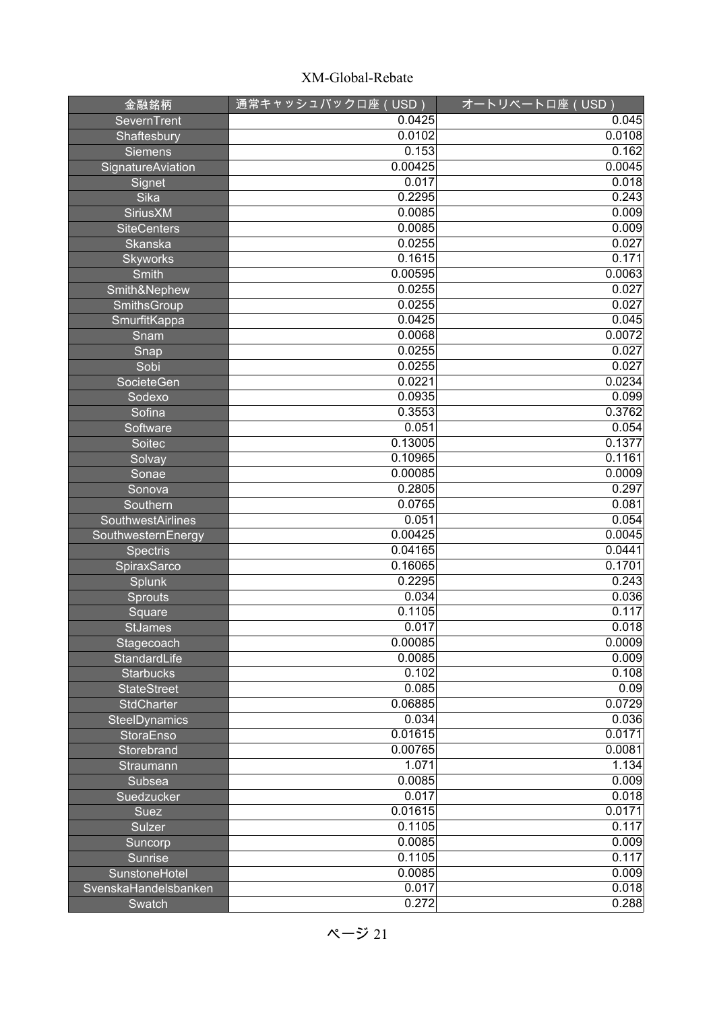| 金融銘柄                     | 通常キャッシュバックロ座 (USD) | オートリベートロ座 (USD) |
|--------------------------|--------------------|-----------------|
| SevernTrent              | 0.0425             | 0.045           |
| Shaftesbury              | 0.0102             | 0.0108          |
| <b>Siemens</b>           | 0.153              | 0.162           |
| <b>SignatureAviation</b> | 0.00425            | 0.0045          |
| Signet                   | 0.017              | 0.018           |
| Sika                     | 0.2295             | 0.243           |
| <b>SiriusXM</b>          | 0.0085             | 0.009           |
| <b>SiteCenters</b>       | 0.0085             | 0.009           |
| Skanska                  | 0.0255             | 0.027           |
| <b>Skyworks</b>          | 0.1615             | 0.171           |
| Smith                    | 0.00595            | 0.0063          |
| Smith&Nephew             | 0.0255             | 0.027           |
| SmithsGroup              | 0.0255             | 0.027           |
| SmurfitKappa             | 0.0425             | 0.045           |
| Snam                     | 0.0068             | 0.0072          |
| Snap                     | 0.0255             | 0.027           |
| Sobi                     | 0.0255             | 0.027           |
| SocieteGen               | 0.0221             | 0.0234          |
| Sodexo                   | 0.0935             | 0.099           |
| Sofina                   | 0.3553             | 0.3762          |
| Software                 | 0.051              | 0.054           |
| Soitec                   | 0.13005            | 0.1377          |
| Solvay                   | 0.10965            | 0.1161          |
| Sonae                    | 0.00085            | 0.0009          |
| Sonova                   | 0.2805             | 0.297           |
| Southern                 | 0.0765             | 0.081           |
| SouthwestAirlines        | 0.051              | 0.054           |
| SouthwesternEnergy       | 0.00425            | 0.0045          |
| <b>Spectris</b>          | 0.04165            | 0.0441          |
| SpiraxSarco              | 0.16065            | 0.1701          |
| Splunk                   | 0.2295             | 0.243           |
| Sprouts                  | 0.034              | 0.036           |
| Square                   | 0.1105             | 0.117           |
| <b>StJames</b>           | 0.017              | 0.018           |
| Stagecoach               | 0.00085            | 0.0009          |
| StandardLife             | 0.0085             | 0.009           |
| <b>Starbucks</b>         | 0.102              | 0.108           |
| <b>StateStreet</b>       | 0.085              | 0.09            |
| StdCharter               | 0.06885            | 0.0729          |
| <b>SteelDynamics</b>     | 0.034              | 0.036           |
| StoraEnso                | 0.01615            | 0.0171          |
| Storebrand               | 0.00765            | 0.0081          |
| Straumann                | 1.071              | 1.134           |
| Subsea                   | 0.0085             | 0.009           |
| Suedzucker               | 0.017              | 0.018           |
| Suez                     | 0.01615            | 0.0171          |
| Sulzer                   | 0.1105             | 0.117           |
| Suncorp                  | 0.0085             | 0.009           |
| <b>Sunrise</b>           | 0.1105             | 0.117           |
| SunstoneHotel            | 0.0085             | 0.009           |
| SvenskaHandelsbanken     | 0.017              | 0.018           |
| Swatch                   | 0.272              | 0.288           |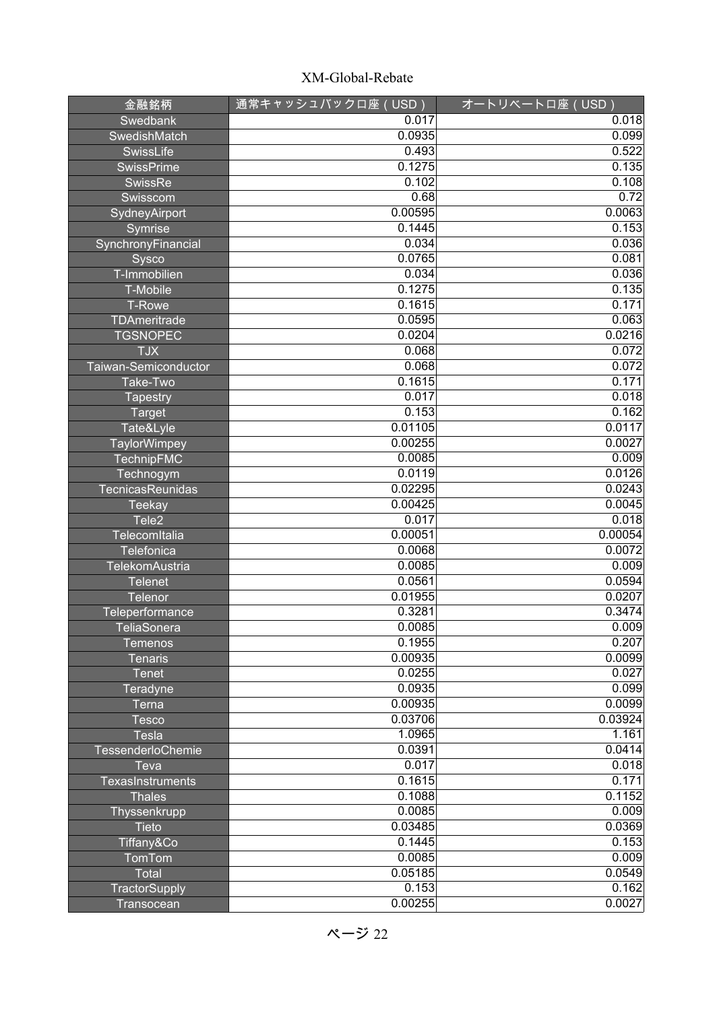| 金融銘柄                    | 通常キャッシュバックロ座 (USD) | オートリベートロ座 (USD) |
|-------------------------|--------------------|-----------------|
| Swedbank                | 0.017              | 0.018           |
| SwedishMatch            | 0.0935             | 0.099           |
| SwissLife               | 0.493              | 0.522           |
| <b>SwissPrime</b>       | 0.1275             | 0.135           |
| SwissRe                 | 0.102              | 0.108           |
| Swisscom                | 0.68               | 0.72            |
| SydneyAirport           | 0.00595            | 0.0063          |
| Symrise                 | 0.1445             | 0.153           |
| SynchronyFinancial      | 0.034              | 0.036           |
| Sysco                   | 0.0765             | 0.081           |
| T-Immobilien            | 0.034              | 0.036           |
| T-Mobile                | 0.1275             | 0.135           |
| <b>T-Rowe</b>           | 0.1615             | 0.171           |
| TDAmeritrade            | 0.0595             | 0.063           |
| <b>TGSNOPEC</b>         | 0.0204             | 0.0216          |
| <b>TJX</b>              | 0.068              | 0.072           |
| Taiwan-Semiconductor    | 0.068              | 0.072           |
| Take-Two                | 0.1615             | 0.171           |
| <b>Tapestry</b>         | 0.017              | 0.018           |
| <b>Target</b>           | 0.153              | 0.162           |
| Tate&Lyle               | 0.01105            | 0.0117          |
| TaylorWimpey            | 0.00255            | 0.0027          |
| TechnipFMC              | 0.0085             | 0.009           |
| Technogym               | 0.0119             | 0.0126          |
| TecnicasReunidas        | 0.02295            | 0.0243          |
| <b>Teekay</b>           | 0.00425            | 0.0045          |
| Tele <sub>2</sub>       | 0.017              | 0.018           |
| TelecomItalia           | 0.00051            | 0.00054         |
| Telefonica              | 0.0068             | 0.0072          |
| TelekomAustria          | 0.0085             | 0.009           |
| <b>Telenet</b>          | 0.0561             | 0.0594          |
| Telenor                 | 0.01955            | 0.0207          |
| Teleperformance         | 0.3281             | 0.3474          |
| TeliaSonera             | 0.0085             | 0.009           |
| <b>Temenos</b>          | 0.1955             | 0.207           |
| <b>Tenaris</b>          | 0.00935            | 0.0099          |
| <b>Tenet</b>            | 0.0255             | 0.027           |
| Teradyne                | 0.0935             | 0.099           |
| Terna                   | 0.00935            | 0.0099          |
| <b>Tesco</b>            | 0.03706            | 0.03924         |
| <b>Tesla</b>            | 1.0965             | 1.161           |
| TessenderloChemie       | 0.0391             | 0.0414          |
| Teva                    | 0.017              | 0.018           |
| <b>TexasInstruments</b> | 0.1615             | 0.171           |
| <b>Thales</b>           | 0.1088             | 0.1152          |
| Thyssenkrupp            | 0.0085             | 0.009           |
| Tieto                   | 0.03485            | 0.0369          |
| Tiffany&Co              | 0.1445             | 0.153           |
| TomTom                  | 0.0085             | 0.009           |
| Total                   | 0.05185<br>0.153   | 0.0549<br>0.162 |
| TractorSupply           |                    |                 |
| Transocean              | 0.00255            | 0.0027          |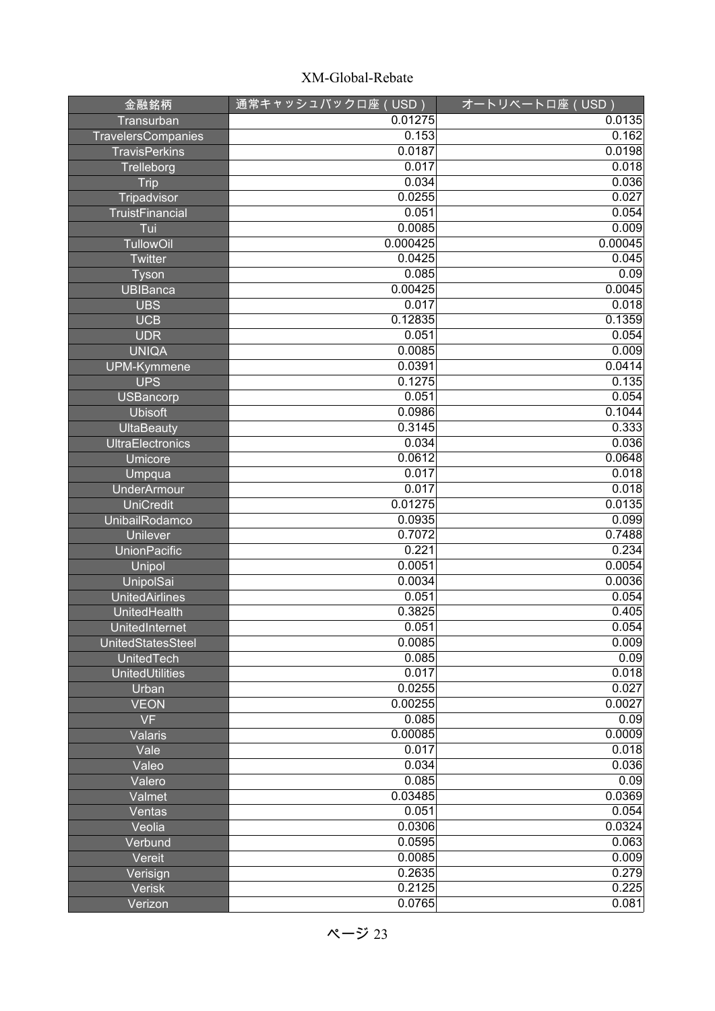| 金融銘柄                    | 通常キャッシュバックロ座 (USD) | オートリベートロ座 (USD) |
|-------------------------|--------------------|-----------------|
| Transurban              | 0.01275            | 0.0135          |
| TravelersCompanies      | 0.153              | 0.162           |
| <b>TravisPerkins</b>    | 0.0187             | 0.0198          |
| Trelleborg              | 0.017              | 0.018           |
| <b>Trip</b>             | 0.034              | 0.036           |
| Tripadvisor             | 0.0255             | 0.027           |
| <b>TruistFinancial</b>  | 0.051              | 0.054           |
| Tui                     | 0.0085             | 0.009           |
| <b>TullowOil</b>        | 0.000425           | 0.00045         |
| Twitter                 | 0.0425             | 0.045           |
| Tyson                   | 0.085              | 0.09            |
| <b>UBIBanca</b>         | 0.00425            | 0.0045          |
| <b>UBS</b>              | 0.017              | 0.018           |
| <b>UCB</b>              | 0.12835            | 0.1359          |
| <b>UDR</b>              | 0.051              | 0.054           |
| <b>UNIQA</b>            | 0.0085             | 0.009           |
| UPM-Kymmene             | 0.0391             | 0.0414          |
| <b>UPS</b>              | 0.1275             | 0.135           |
| <b>USBancorp</b>        | 0.051              | 0.054           |
| <b>Ubisoft</b>          | 0.0986             | 0.1044          |
| <b>UltaBeauty</b>       | 0.3145             | 0.333           |
| <b>UltraElectronics</b> | 0.034              | 0.036           |
| Umicore                 | 0.0612             | 0.0648          |
| Umpqua                  | 0.017              | 0.018           |
| <b>UnderArmour</b>      | 0.017              | 0.018           |
| <b>UniCredit</b>        | 0.01275            | 0.0135          |
| UnibailRodamco          | 0.0935             | 0.099           |
| <b>Unilever</b>         | 0.7072             | 0.7488          |
| <b>UnionPacific</b>     | 0.221              | 0.234           |
| Unipol                  | 0.0051             | 0.0054          |
| UnipolSai               | 0.0034             | 0.0036          |
| <b>UnitedAirlines</b>   | 0.051              | 0.054           |
| UnitedHealth            | 0.3825             | 0.405           |
| UnitedInternet          | 0.051              | 0.054           |
| UnitedStatesSteel       | 0.0085             | 0.009           |
| <b>UnitedTech</b>       | 0.085              | 0.09            |
| <b>UnitedUtilities</b>  | 0.017              | 0.018           |
| Urban                   | 0.0255             | 0.027           |
| <b>VEON</b>             | 0.00255            | 0.0027          |
| <b>VF</b>               | 0.085              | 0.09            |
| Valaris                 | 0.00085            | 0.0009          |
| Vale                    | 0.017              | 0.018           |
| Valeo                   | 0.034              | 0.036           |
| Valero                  | 0.085              | 0.09            |
| Valmet                  | 0.03485            | 0.0369          |
| Ventas                  | 0.051              | 0.054           |
| Veolia                  | 0.0306             | 0.0324          |
| Verbund                 | 0.0595             | 0.063           |
| Vereit                  | 0.0085             | 0.009           |
| Verisign                | 0.2635             | 0.279           |
| <b>Verisk</b>           | 0.2125             | 0.225           |
| Verizon                 | 0.0765             | 0.081           |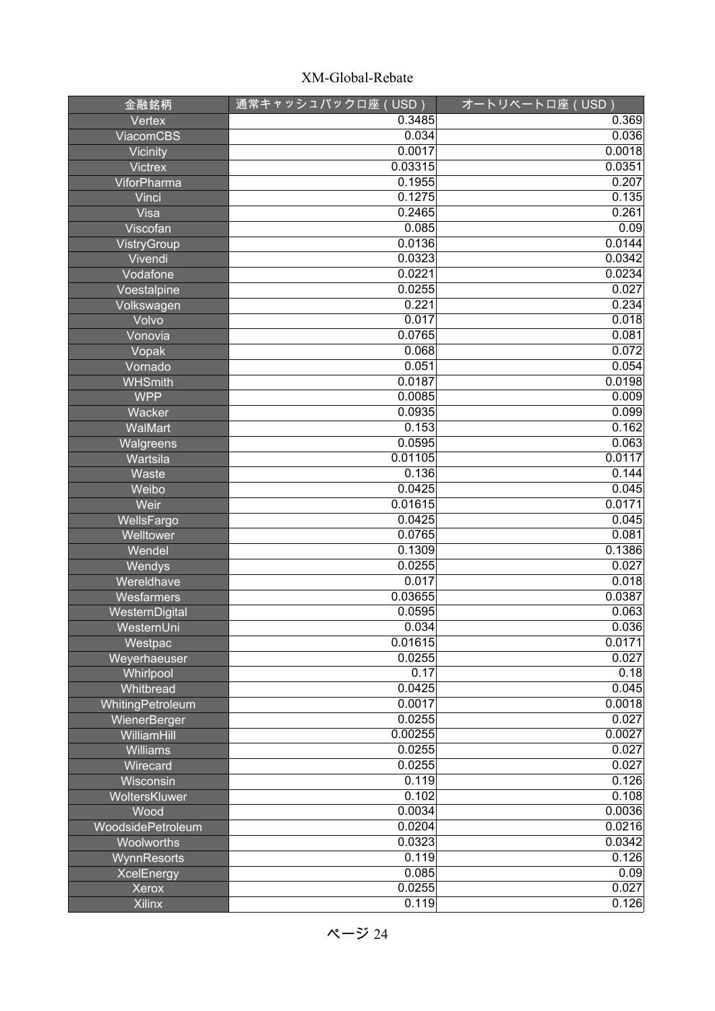| 金融銘柄                            | 通常キャッシュバックロ座 (USD) | オートリベートロ座 (USD) |
|---------------------------------|--------------------|-----------------|
| Vertex                          | 0.3485             | 0.369           |
| <b>ViacomCBS</b>                | 0.034              | 0.036           |
| Vicinity                        | 0.0017             | 0.0018          |
| <b>Victrex</b>                  | 0.03315            | 0.0351          |
| ViforPharma                     | 0.1955             | 0.207           |
| Vinci                           | 0.1275             | 0.135           |
| Visa                            | 0.2465             | 0.261           |
| Viscofan                        | 0.085              | 0.09            |
| VistryGroup                     | 0.0136             | 0.0144          |
| Vivendi                         | 0.0323             | 0.0342          |
| Vodafone                        | 0.0221             | 0.0234          |
| Voestalpine                     | 0.0255             | 0.027           |
| Volkswagen                      | 0.221              | 0.234           |
| Volvo                           | 0.017              | 0.018           |
| Vonovia                         | 0.0765             | 0.081           |
| Vopak                           | 0.068              | 0.072           |
| Vornado                         | 0.051              | 0.054           |
| <b>WHSmith</b>                  | 0.0187             | 0.0198          |
| <b>WPP</b>                      | 0.0085             | 0.009           |
| Wacker                          | 0.0935             | 0.099           |
| WalMart                         | 0.153              | 0.162           |
| Walgreens                       | 0.0595             | 0.063           |
| Wartsila                        | 0.01105            | 0.0117          |
| Waste                           | 0.136              | 0.144           |
| Weibo                           | 0.0425             | 0.045           |
| Weir                            | 0.01615            | 0.0171          |
| WellsFargo                      | 0.0425             | 0.045           |
| Welltower                       | 0.0765             | 0.081           |
| Wendel                          | 0.1309             | 0.1386          |
| Wendys                          | 0.0255             | 0.027           |
| Wereldhave                      | 0.017              | 0.018           |
| Wesfarmers                      | 0.03655            | 0.0387          |
| WesternDigital                  | 0.0595             | 0.063           |
| WesternUni                      | 0.034              | 0.036           |
| Westpac                         | 0.01615            | 0.0171          |
| Weyerhaeuser                    | 0.0255             | 0.027           |
| Whirlpool                       | 0.17               | 0.18            |
| Whitbread                       | 0.0425             | 0.045           |
| WhitingPetroleum                | 0.0017             | 0.0018          |
| WienerBerger                    | 0.0255<br>0.00255  | 0.027           |
| WilliamHill                     | 0.0255             | 0.0027<br>0.027 |
| <b>Williams</b>                 | 0.0255             | 0.027           |
| Wirecard                        |                    | 0.126           |
| Wisconsin                       | 0.119<br>0.102     | 0.108           |
| WoltersKluwer<br>Wood           | 0.0034             | 0.0036          |
|                                 | 0.0204             | 0.0216          |
| WoodsidePetroleum<br>Woolworths | 0.0323             | 0.0342          |
|                                 | 0.119              | 0.126           |
| WynnResorts                     | 0.085              | 0.09            |
| <b>XcelEnergy</b><br>Xerox      | 0.0255             | 0.027           |
| <b>Xilinx</b>                   | 0.119              | 0.126           |
|                                 |                    |                 |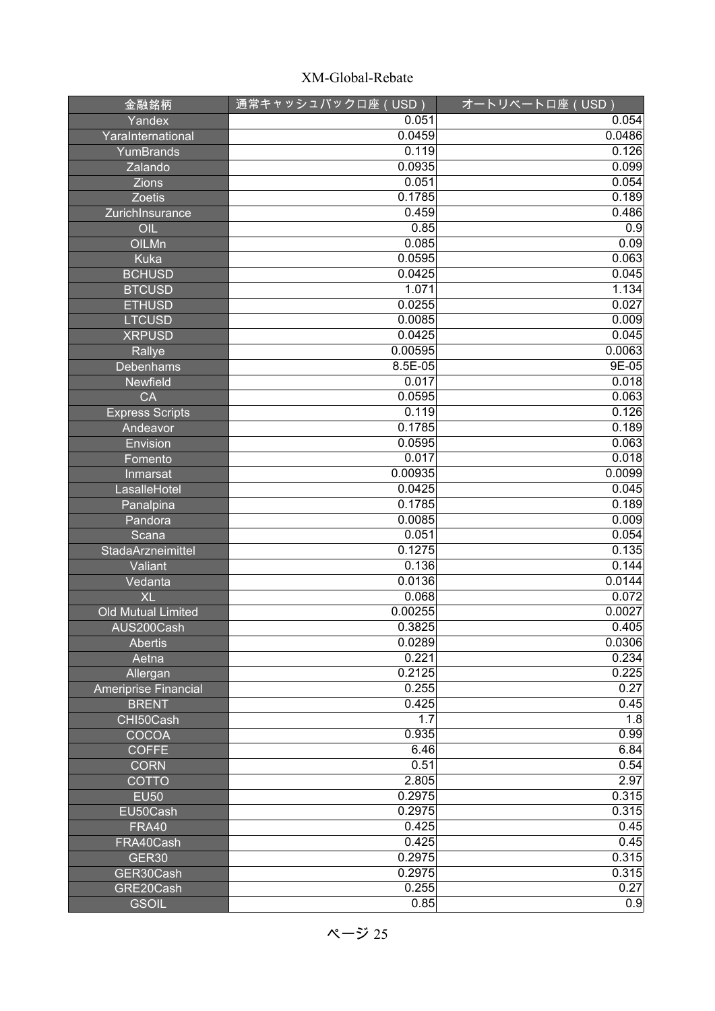| 金融銘柄                   | 通常キャッシュバックロ座 (USD) | オートリベートロ座 (USD) |
|------------------------|--------------------|-----------------|
| Yandex                 | 0.051              | 0.054           |
| YaraInternational      | 0.0459             | 0.0486          |
| YumBrands              | 0.119              | 0.126           |
| Zalando                | 0.0935             | 0.099           |
| Zions                  | 0.051              | 0.054           |
| Zoetis                 | 0.1785             | 0.189           |
| ZurichInsurance        | 0.459              | 0.486           |
| OIL                    | 0.85               | 0.9             |
| OILMn                  | 0.085              | 0.09            |
| <b>Kuka</b>            | 0.0595             | 0.063           |
| <b>BCHUSD</b>          | 0.0425             | 0.045           |
| <b>BTCUSD</b>          | 1.071              | 1.134           |
| <b>ETHUSD</b>          | 0.0255             | 0.027           |
| <b>LTCUSD</b>          | 0.0085             | 0.009           |
| <b>XRPUSD</b>          | 0.0425             | 0.045           |
| Rallye                 | 0.00595            | 0.0063          |
| <b>Debenhams</b>       | $8.5E - 05$        | $9E-05$         |
| <b>Newfield</b>        | 0.017              | 0.018           |
| CA                     | 0.0595             | 0.063           |
| <b>Express Scripts</b> | 0.119              | 0.126           |
| Andeavor               | 0.1785             | 0.189           |
| Envision               | 0.0595             | 0.063           |
| Fomento                | 0.017              | 0.018           |
| Inmarsat               | 0.00935            | 0.0099          |
| LasalleHotel           | 0.0425             | 0.045           |
| Panalpina              | 0.1785             | 0.189           |
| Pandora                | 0.0085             | 0.009           |
| Scana                  | 0.051              | 0.054           |
| StadaArzneimittel      | 0.1275             | 0.135           |
| Valiant                | 0.136              | 0.144           |
| Vedanta                | 0.0136             | 0.0144          |
| <b>XL</b>              | 0.068              | 0.072           |
| Old Mutual Limited     | 0.00255<br>0.3825  | 0.0027<br>0.405 |
| AUS200Cash             | 0.0289             | 0.0306          |
| <b>Abertis</b>         | 0.221              | 0.234           |
| Aetna<br>Allergan      | 0.2125             | 0.225           |
| Ameriprise Financial   | 0.255              | 0.27            |
| <b>BRENT</b>           | 0.425              | 0.45            |
| CHI50Cash              | 1.7                | 1.8             |
| COCOA                  | 0.935              | 0.99            |
| <b>COFFE</b>           | 6.46               | 6.84            |
| <b>CORN</b>            | 0.51               | 0.54            |
| <b>COTTO</b>           | 2.805              | 2.97            |
| <b>EU50</b>            | 0.2975             | 0.315           |
| EU50Cash               | 0.2975             | 0.315           |
| <b>FRA40</b>           | 0.425              | 0.45            |
| FRA40Cash              | 0.425              | 0.45            |
| <b>GER30</b>           | 0.2975             | 0.315           |
| GER30Cash              | 0.2975             | 0.315           |
| GRE20Cash              | 0.255              | 0.27            |
| <b>GSOIL</b>           | 0.85               | 0.9             |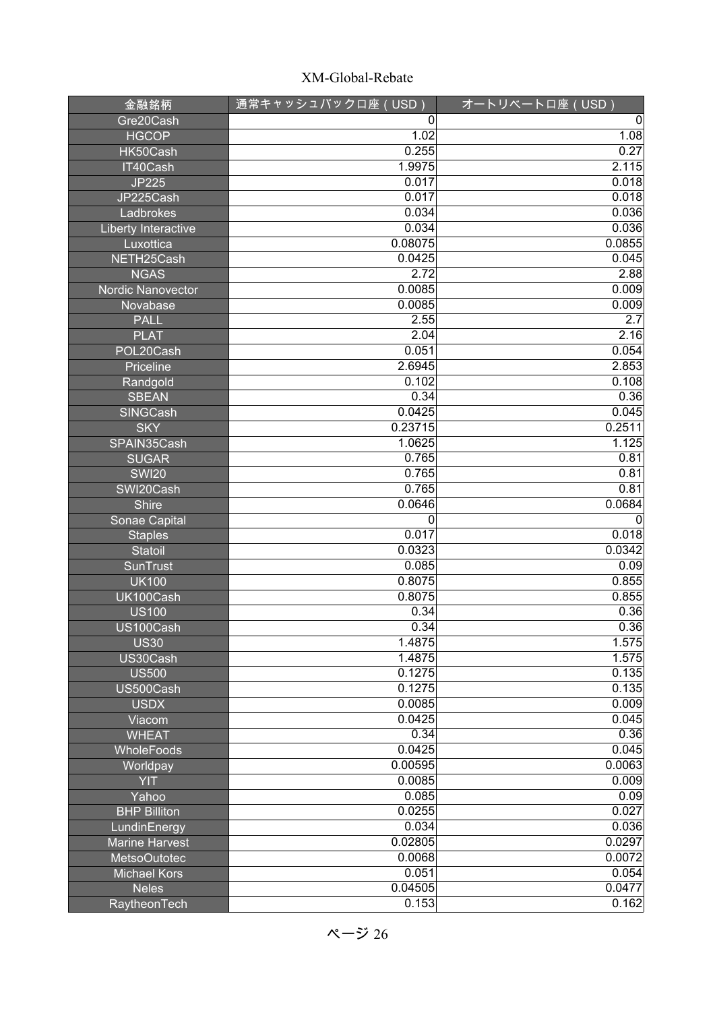| 金融銘柄                    | <u>通常キャ</u> ッシュバックロ座(USD) | オートリベートロ座 (USD) |
|-------------------------|---------------------------|-----------------|
| Gre20Cash               | 0                         | 0               |
| <b>HGCOP</b>            | 1.02                      | 1.08            |
| HK50Cash                | 0.255                     | 0.27            |
| IT40Cash                | 1.9975                    | 2.115           |
| <b>JP225</b>            | 0.017                     | 0.018           |
| JP225Cash               | 0.017                     | 0.018           |
| Ladbrokes               | 0.034                     | 0.036           |
| Liberty Interactive     | 0.034                     | 0.036           |
| Luxottica               | 0.08075                   | 0.0855          |
| NETH25Cash              | 0.0425                    | 0.045           |
| <b>NGAS</b>             | 2.72                      | 2.88            |
| Nordic Nanovector       | 0.0085                    | 0.009           |
| Novabase                | 0.0085                    | 0.009           |
| <b>PALL</b>             | 2.55                      | 2.7             |
| <b>PLAT</b>             | 2.04                      | 2.16            |
| POL20Cash               | 0.051                     | 0.054           |
| Priceline               | 2.6945                    | 2.853           |
| Randgold                | 0.102                     | 0.108           |
| <b>SBEAN</b>            | 0.34                      | 0.36            |
| SINGCash                | 0.0425                    | 0.045           |
| <b>SKY</b>              | 0.23715                   | 0.2511          |
| SPAIN35Cash             | 1.0625                    | 1.125           |
| <b>SUGAR</b>            | 0.765                     | 0.81            |
| <b>SWI20</b>            | 0.765                     | 0.81            |
| SWI20Cash               | 0.765                     | 0.81            |
| <b>Shire</b>            | 0.0646                    | 0.0684          |
| Sonae Capital           | 0                         | $\mathbf 0$     |
| <b>Staples</b>          | 0.017                     | 0.018           |
| <b>Statoil</b>          | 0.0323                    | 0.0342          |
| <b>SunTrust</b>         | 0.085                     | 0.09            |
| <b>UK100</b>            | 0.8075                    | 0.855           |
| UK100Cash               | 0.8075                    | 0.855           |
| <b>US100</b>            | 0.34                      | 0.36            |
| US100Cash               | 0.34<br>1.4875            | 0.36<br>1.575   |
| <b>US30</b><br>US30Cash | 1.4875                    | 1.575           |
| <b>US500</b>            | 0.1275                    | 0.135           |
| US500Cash               | 0.1275                    | 0.135           |
| <b>USDX</b>             | 0.0085                    | 0.009           |
| Viacom                  | 0.0425                    | 0.045           |
| <b>WHEAT</b>            | 0.34                      | 0.36            |
| WholeFoods              | 0.0425                    | 0.045           |
| Worldpay                | 0.00595                   | 0.0063          |
| <b>YIT</b>              | 0.0085                    | 0.009           |
| Yahoo                   | 0.085                     | 0.09            |
| <b>BHP Billiton</b>     | 0.0255                    | 0.027           |
| LundinEnergy            | 0.034                     | 0.036           |
| <b>Marine Harvest</b>   | 0.02805                   | 0.0297          |
| <b>MetsoOutotec</b>     | 0.0068                    | 0.0072          |
| <b>Michael Kors</b>     | 0.051                     | 0.054           |
| <b>Neles</b>            | 0.04505                   | 0.0477          |
| RaytheonTech            | 0.153                     | 0.162           |